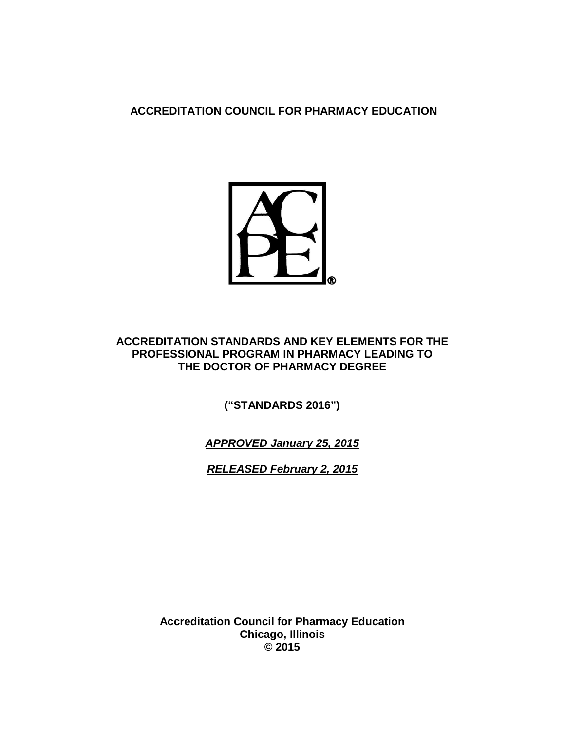**ACCREDITATION COUNCIL FOR PHARMACY EDUCATION**



## **ACCREDITATION STANDARDS AND KEY ELEMENTS FOR THE PROFESSIONAL PROGRAM IN PHARMACY LEADING TO THE DOCTOR OF PHARMACY DEGREE**

**("STANDARDS 2016")**

*APPROVED January 25, 2015*

*RELEASED February 2, 2015*

**Accreditation Council for Pharmacy Education Chicago, Illinois © 2015**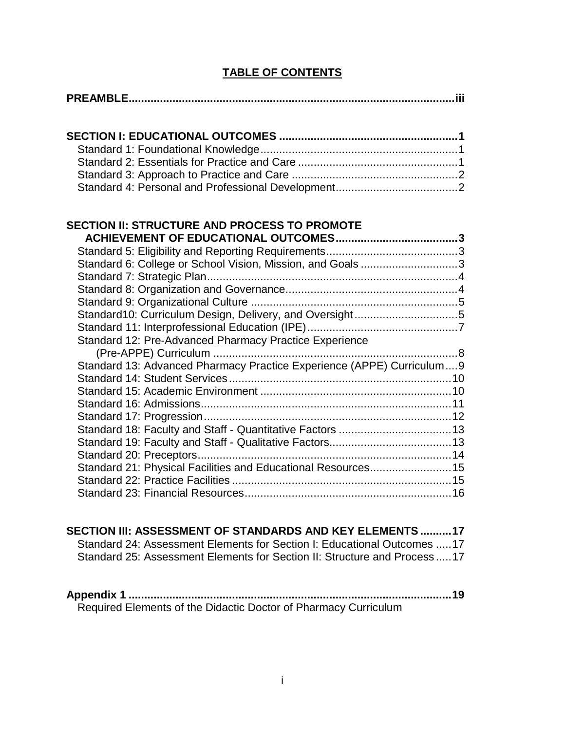# **TABLE OF CONTENTS**

# **SECTION II: STRUCTURE AND PROCESS TO PROMOTE**

| Standard10: Curriculum Design, Delivery, and Oversight5                |                                                           |
|------------------------------------------------------------------------|-----------------------------------------------------------|
|                                                                        |                                                           |
| Standard 12: Pre-Advanced Pharmacy Practice Experience                 |                                                           |
|                                                                        |                                                           |
| Standard 13: Advanced Pharmacy Practice Experience (APPE) Curriculum 9 |                                                           |
|                                                                        |                                                           |
|                                                                        |                                                           |
|                                                                        |                                                           |
|                                                                        |                                                           |
|                                                                        |                                                           |
|                                                                        |                                                           |
|                                                                        |                                                           |
| Standard 21: Physical Facilities and Educational Resources 15          |                                                           |
|                                                                        |                                                           |
|                                                                        |                                                           |
|                                                                        | Standard 6: College or School Vision, Mission, and Goals3 |

## **SECTION III: ASSESSMENT OF STANDARDS AND KEY ELEMENTS ..........17** Standard 24: Assessment Elements for Section I: Educational Outcomes .....17 Standard 25: Assessment Elements for Section II: Structure and Process .....17

**Appendix 1 .......................................................................................................19** Required Elements of the Didactic Doctor of Pharmacy Curriculum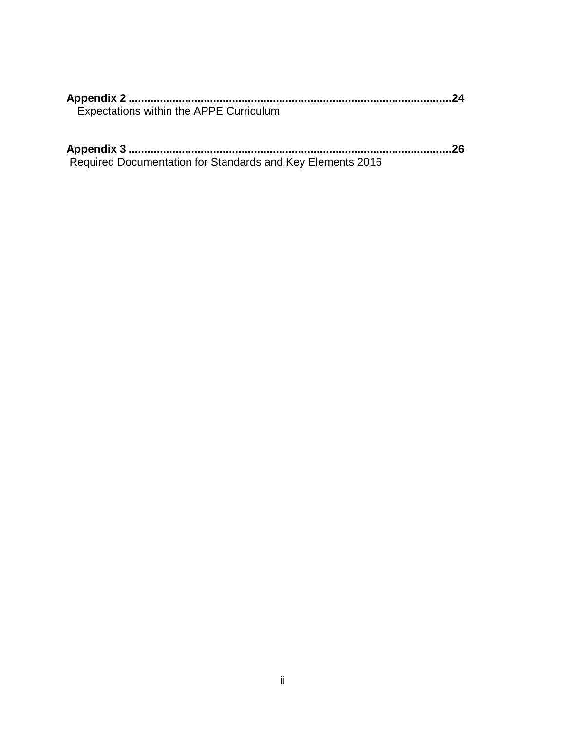| <b>Expectations within the APPE Curriculum</b> |  |
|------------------------------------------------|--|

| Required Documentation for Standards and Key Elements 2016 |  |
|------------------------------------------------------------|--|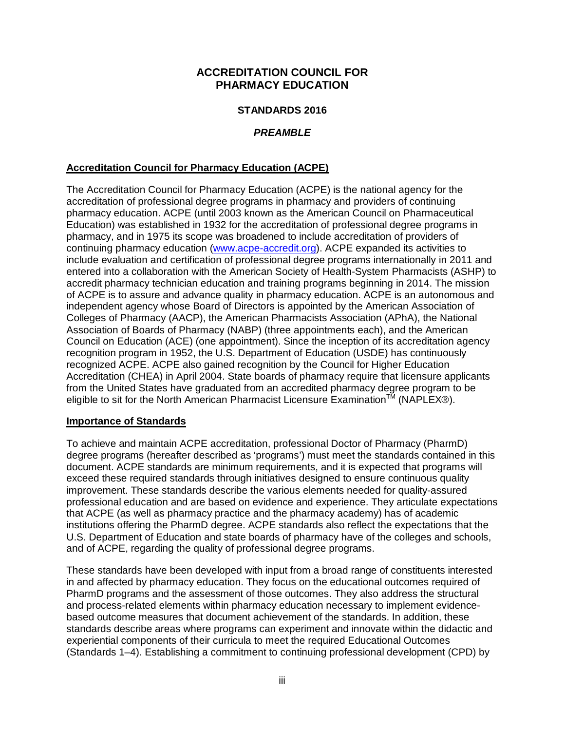## **ACCREDITATION COUNCIL FOR PHARMACY EDUCATION**

### **STANDARDS 2016**

### *PREAMBLE*

### **Accreditation Council for Pharmacy Education (ACPE)**

The Accreditation Council for Pharmacy Education (ACPE) is the national agency for the accreditation of professional degree programs in pharmacy and providers of continuing pharmacy education. ACPE (until 2003 known as the American Council on Pharmaceutical Education) was established in 1932 for the accreditation of professional degree programs in pharmacy, and in 1975 its scope was broadened to include accreditation of providers of continuing pharmacy education [\(www.acpe-accredit.org\)](http://www.acpe-accredit.org/). ACPE expanded its activities to include evaluation and certification of professional degree programs internationally in 2011 and entered into a collaboration with the American Society of Health-System Pharmacists (ASHP) to accredit pharmacy technician education and training programs beginning in 2014. The mission of ACPE is to assure and advance quality in pharmacy education. ACPE is an autonomous and independent agency whose Board of Directors is appointed by the American Association of Colleges of Pharmacy (AACP), the American Pharmacists Association (APhA), the National Association of Boards of Pharmacy (NABP) (three appointments each), and the American Council on Education (ACE) (one appointment). Since the inception of its accreditation agency recognition program in 1952, the U.S. Department of Education (USDE) has continuously recognized ACPE. ACPE also gained recognition by the Council for Higher Education Accreditation (CHEA) in April 2004. State boards of pharmacy require that licensure applicants from the United States have graduated from an accredited pharmacy degree program to be eligible to sit for the North American Pharmacist Licensure Examination<sup>TM</sup> (NAPLEX®).

### **Importance of Standards**

To achieve and maintain ACPE accreditation, professional Doctor of Pharmacy (PharmD) degree programs (hereafter described as 'programs') must meet the standards contained in this document. ACPE standards are minimum requirements, and it is expected that programs will exceed these required standards through initiatives designed to ensure continuous quality improvement. These standards describe the various elements needed for quality-assured professional education and are based on evidence and experience. They articulate expectations that ACPE (as well as pharmacy practice and the pharmacy academy) has of academic institutions offering the PharmD degree. ACPE standards also reflect the expectations that the U.S. Department of Education and state boards of pharmacy have of the colleges and schools, and of ACPE, regarding the quality of professional degree programs.

These standards have been developed with input from a broad range of constituents interested in and affected by pharmacy education. They focus on the educational outcomes required of PharmD programs and the assessment of those outcomes. They also address the structural and process-related elements within pharmacy education necessary to implement evidencebased outcome measures that document achievement of the standards. In addition, these standards describe areas where programs can experiment and innovate within the didactic and experiential components of their curricula to meet the required Educational Outcomes (Standards 1–4). Establishing a commitment to continuing professional development (CPD) by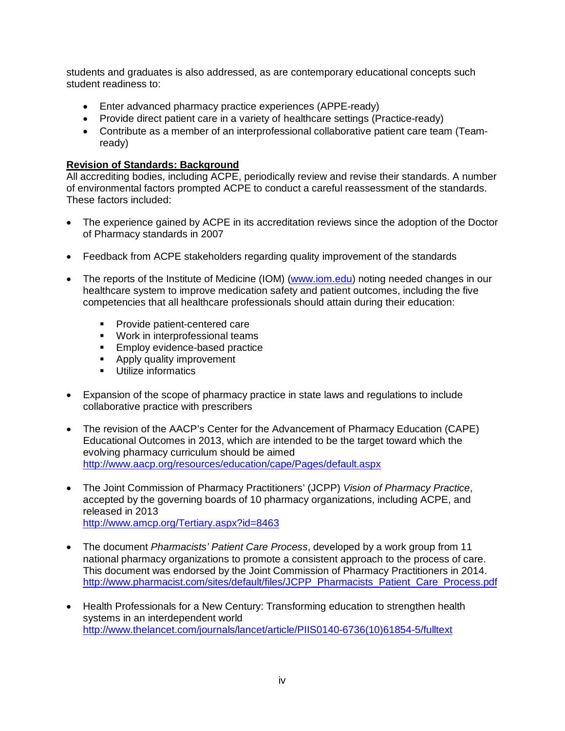students and graduates is also addressed, as are contemporary educational concepts such student readiness to:

- Enter advanced pharmacy practice experiences (APPE-ready)
- Provide direct patient care in a variety of healthcare settings (Practice-ready)
- Contribute as a member of an interprofessional collaborative patient care team (Teamready)

### **Revision of Standards: Background**

All accrediting bodies, including ACPE, periodically review and revise their standards. A number of environmental factors prompted ACPE to conduct a careful reassessment of the standards. These factors included:

- The experience gained by ACPE in its accreditation reviews since the adoption of the Doctor of Pharmacy standards in 2007
- Feedback from ACPE stakeholders regarding quality improvement of the standards
- The reports of the Institute of Medicine (IOM) [\(www.iom.edu\)](http://www.iom.edu/) noting needed changes in our healthcare system to improve medication safety and patient outcomes, including the five competencies that all healthcare professionals should attain during their education:
	- **Provide patient-centered care**
	- **Work in interprofessional teams**
	- **Employ evidence-based practice**
	- **Apply quality improvement**
	- **Utilize informatics**
- Expansion of the scope of pharmacy practice in state laws and regulations to include collaborative practice with prescribers
- The revision of the AACP's Center for the Advancement of Pharmacy Education (CAPE) Educational Outcomes in 2013, which are intended to be the target toward which the evolving pharmacy curriculum should be aimed <http://www.aacp.org/resources/education/cape/Pages/default.aspx>
- The Joint Commission of Pharmacy Practitioners' (JCPP) *Vision of Pharmacy Practice*, accepted by the governing boards of 10 pharmacy organizations, including ACPE, and released in 2013 <http://www.amcp.org/Tertiary.aspx?id=8463>
- The document *Pharmacists' Patient Care Process*, developed by a work group from 11 national pharmacy organizations to promote a consistent approach to the process of care. This document was endorsed by the Joint Commission of Pharmacy Practitioners in 2014. [http://www.pharmacist.com/sites/default/files/JCPP\\_Pharmacists\\_Patient\\_Care\\_Process.pdf](http://www.pharmacist.com/sites/default/files/JCPP_Pharmacists_Patient_Care_Process.pdf)
- Health Professionals for a New Century: Transforming education to strengthen health systems in an interdependent world [http://www.thelancet.com/journals/lancet/article/PIIS0140-6736\(10\)61854-5/fulltext](http://www.thelancet.com/journals/lancet/article/PIIS0140-6736(10)61854-5/fulltext)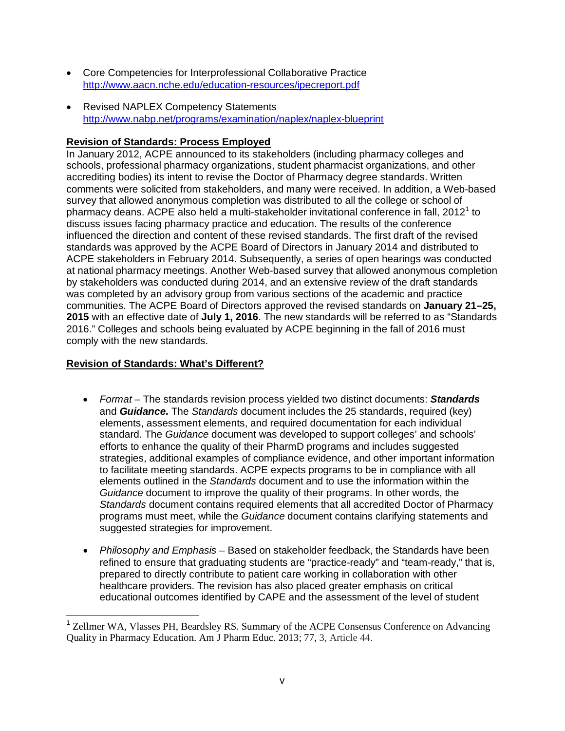- Core Competencies for Interprofessional Collaborative Practice <http://www.aacn.nche.edu/education-resources/ipecreport.pdf>
- Revised NAPLEX Competency Statements <http://www.nabp.net/programs/examination/naplex/naplex-blueprint>

## **Revision of Standards: Process Employed**

In January 2012, ACPE announced to its stakeholders (including pharmacy colleges and schools, professional pharmacy organizations, student pharmacist organizations, and other accrediting bodies) its intent to revise the Doctor of Pharmacy degree standards. Written comments were solicited from stakeholders, and many were received. In addition, a Web-based survey that allowed anonymous completion was distributed to all the college or school of pharmacy deans. ACPE also held a multi-stakeholder invitational conference in fall,  $2012<sup>1</sup>$  $2012<sup>1</sup>$  $2012<sup>1</sup>$  to discuss issues facing pharmacy practice and education. The results of the conference influenced the direction and content of these revised standards. The first draft of the revised standards was approved by the ACPE Board of Directors in January 2014 and distributed to ACPE stakeholders in February 2014. Subsequently, a series of open hearings was conducted at national pharmacy meetings. Another Web-based survey that allowed anonymous completion by stakeholders was conducted during 2014, and an extensive review of the draft standards was completed by an advisory group from various sections of the academic and practice communities. The ACPE Board of Directors approved the revised standards on **January 21–25, 2015** with an effective date of **July 1, 2016**. The new standards will be referred to as "Standards 2016." Colleges and schools being evaluated by ACPE beginning in the fall of 2016 must comply with the new standards.

## **Revision of Standards: What's Different?**

- *Format –* The standards revision process yielded two distinct documents: *Standards* and *Guidance.* The *Standards* document includes the 25 standards, required (key) elements, assessment elements, and required documentation for each individual standard. The *Guidance* document was developed to support colleges' and schools' efforts to enhance the quality of their PharmD programs and includes suggested strategies, additional examples of compliance evidence, and other important information to facilitate meeting standards. ACPE expects programs to be in compliance with all elements outlined in the *Standards* document and to use the information within the *Guidance* document to improve the quality of their programs. In other words, the *Standards* document contains required elements that all accredited Doctor of Pharmacy programs must meet, while the *Guidance* document contains clarifying statements and suggested strategies for improvement.
- *Philosophy and Emphasis* Based on stakeholder feedback, the Standards have been refined to ensure that graduating students are "practice-ready" and "team-ready," that is, prepared to directly contribute to patient care working in collaboration with other healthcare providers. The revision has also placed greater emphasis on critical educational outcomes identified by CAPE and the assessment of the level of student

<span id="page-5-0"></span><sup>&</sup>lt;sup>1</sup> Zellmer WA, Vlasses PH, Beardsley RS. Summary of the ACPE Consensus Conference on Advancing Quality in Pharmacy Education. Am J Pharm Educ. 2013; 77, 3, Article 44.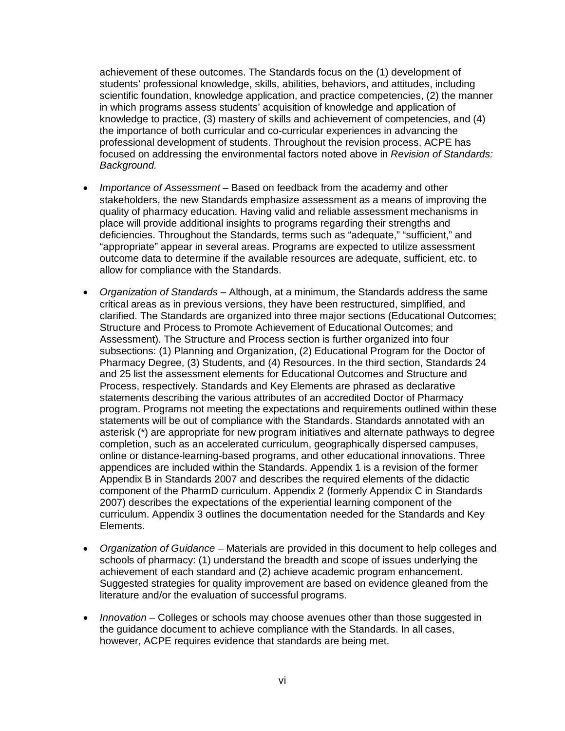achievement of these outcomes. The Standards focus on the (1) development of students' professional knowledge, skills, abilities, behaviors, and attitudes, including scientific foundation, knowledge application, and practice competencies, (2) the manner in which programs assess students' acquisition of knowledge and application of knowledge to practice, (3) mastery of skills and achievement of competencies, and (4) the importance of both curricular and co-curricular experiences in advancing the professional development of students. Throughout the revision process, ACPE has focused on addressing the environmental factors noted above in *Revision of Standards: Background.*

- *Importance of Assessment* Based on feedback from the academy and other stakeholders, the new Standards emphasize assessment as a means of improving the quality of pharmacy education. Having valid and reliable assessment mechanisms in place will provide additional insights to programs regarding their strengths and deficiencies. Throughout the Standards, terms such as "adequate," "sufficient," and "appropriate" appear in several areas. Programs are expected to utilize assessment outcome data to determine if the available resources are adequate, sufficient, etc. to allow for compliance with the Standards.
- *Organization of Standards* Although, at a minimum, the Standards address the same critical areas as in previous versions, they have been restructured, simplified, and clarified. The Standards are organized into three major sections (Educational Outcomes; Structure and Process to Promote Achievement of Educational Outcomes; and Assessment). The Structure and Process section is further organized into four subsections: (1) Planning and Organization, (2) Educational Program for the Doctor of Pharmacy Degree, (3) Students, and (4) Resources. In the third section, Standards 24 and 25 list the assessment elements for Educational Outcomes and Structure and Process, respectively. Standards and Key Elements are phrased as declarative statements describing the various attributes of an accredited Doctor of Pharmacy program. Programs not meeting the expectations and requirements outlined within these statements will be out of compliance with the Standards. Standards annotated with an asterisk (\*) are appropriate for new program initiatives and alternate pathways to degree completion, such as an accelerated curriculum, geographically dispersed campuses, online or distance-learning-based programs, and other educational innovations. Three appendices are included within the Standards. Appendix 1 is a revision of the former Appendix B in Standards 2007 and describes the required elements of the didactic component of the PharmD curriculum. Appendix 2 (formerly Appendix C in Standards 2007) describes the expectations of the experiential learning component of the curriculum. Appendix 3 outlines the documentation needed for the Standards and Key Elements.
- *Organization of Guidance* Materials are provided in this document to help colleges and schools of pharmacy: (1) understand the breadth and scope of issues underlying the achievement of each standard and (2) achieve academic program enhancement. Suggested strategies for quality improvement are based on evidence gleaned from the literature and/or the evaluation of successful programs.
- *Innovation* Colleges or schools may choose avenues other than those suggested in the guidance document to achieve compliance with the Standards. In all cases, however, ACPE requires evidence that standards are being met.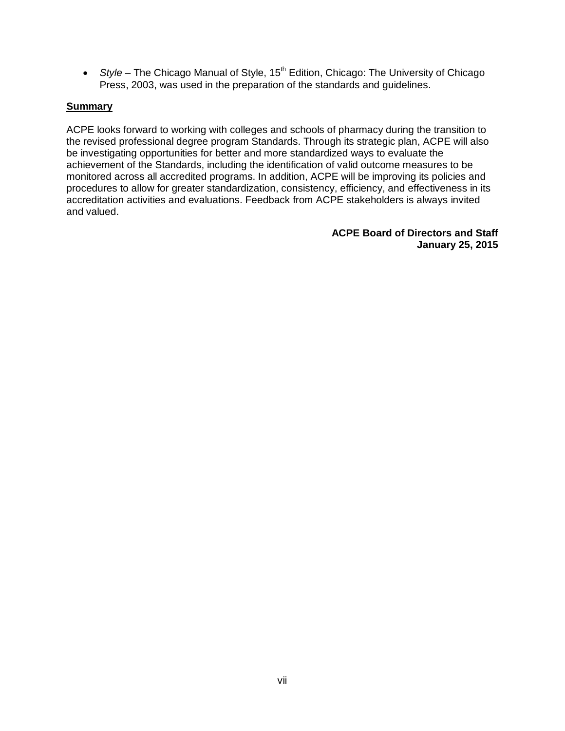• *Style* – The Chicago Manual of Style, 15<sup>th</sup> Edition, Chicago: The University of Chicago Press, 2003, was used in the preparation of the standards and guidelines.

### **Summary**

<span id="page-7-0"></span>ACPE looks forward to working with colleges and schools of pharmacy during the transition to the revised professional degree program Standards. Through its strategic plan, ACPE will also be investigating opportunities for better and more standardized ways to evaluate the achievement of the Standards, including the identification of valid outcome measures to be monitored across all accredited programs. In addition, ACPE will be improving its policies and procedures to allow for greater standardization, consistency, efficiency, and effectiveness in its accreditation activities and evaluations. Feedback from ACPE stakeholders is always invited and valued.

> **ACPE Board of Directors and Staff January 25, 2015**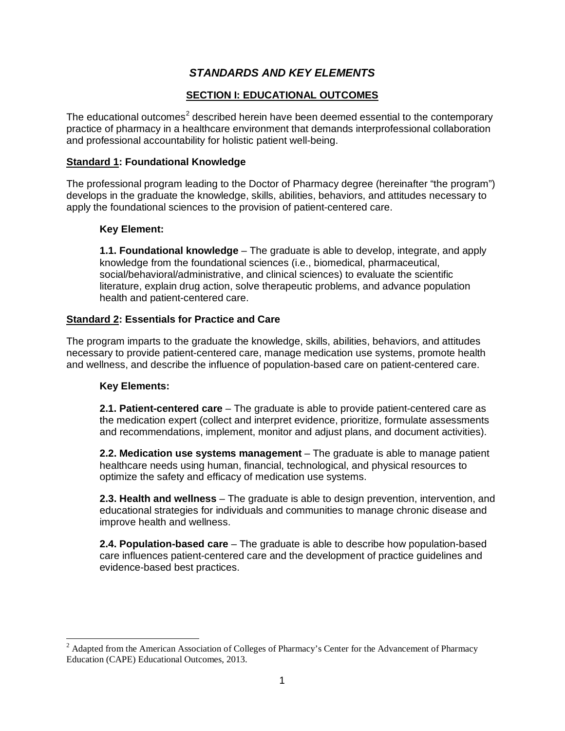# *STANDARDS AND KEY ELEMENTS*

## **SECTION I: EDUCATIONAL OUTCOMES**

The educational outcomes<sup>[2](#page-5-0)</sup> described herein have been deemed essential to the contemporary practice of pharmacy in a healthcare environment that demands interprofessional collaboration and professional accountability for holistic patient well-being.

## **Standard 1: Foundational Knowledge**

The professional program leading to the Doctor of Pharmacy degree (hereinafter "the program") develops in the graduate the knowledge, skills, abilities, behaviors, and attitudes necessary to apply the foundational sciences to the provision of patient-centered care.

## **Key Element:**

**1.1. Foundational knowledge** – The graduate is able to develop, integrate, and apply knowledge from the foundational sciences (i.e., biomedical, pharmaceutical, social/behavioral/administrative, and clinical sciences) to evaluate the scientific literature, explain drug action, solve therapeutic problems, and advance population health and patient-centered care.

## **Standard 2: Essentials for Practice and Care**

The program imparts to the graduate the knowledge, skills, abilities, behaviors, and attitudes necessary to provide patient-centered care, manage medication use systems, promote health and wellness, and describe the influence of population-based care on patient-centered care.

### **Key Elements:**

**2.1. Patient-centered care** – The graduate is able to provide patient-centered care as the medication expert (collect and interpret evidence, prioritize, formulate assessments and recommendations, implement, monitor and adjust plans, and document activities).

**2.2. Medication use systems management** – The graduate is able to manage patient healthcare needs using human, financial, technological, and physical resources to optimize the safety and efficacy of medication use systems.

**2.3. Health and wellness** – The graduate is able to design prevention, intervention, and educational strategies for individuals and communities to manage chronic disease and improve health and wellness.

**2.4. Population-based care** – The graduate is able to describe how population-based care influences patient-centered care and the development of practice guidelines and evidence-based best practices.

<span id="page-8-0"></span><sup>&</sup>lt;sup>2</sup> Adapted from the American Association of Colleges of Pharmacy's Center for the Advancement of Pharmacy Education (CAPE) Educational Outcomes, 2013.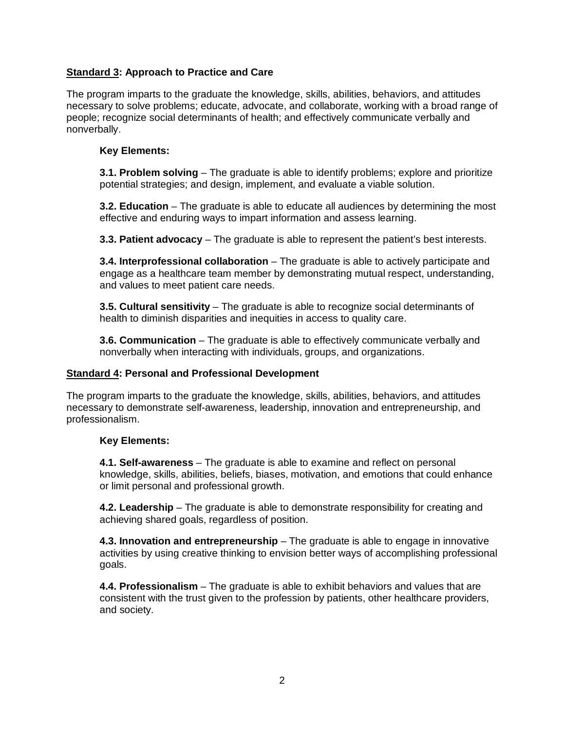## **Standard 3: Approach to Practice and Care**

The program imparts to the graduate the knowledge, skills, abilities, behaviors, and attitudes necessary to solve problems; educate, advocate, and collaborate, working with a broad range of people; recognize social determinants of health; and effectively communicate verbally and nonverbally.

#### **Key Elements:**

**3.1. Problem solving** – The graduate is able to identify problems; explore and prioritize potential strategies; and design, implement, and evaluate a viable solution.

**3.2. Education** – The graduate is able to educate all audiences by determining the most effective and enduring ways to impart information and assess learning.

**3.3. Patient advocacy** – The graduate is able to represent the patient's best interests.

**3.4. Interprofessional collaboration** – The graduate is able to actively participate and engage as a healthcare team member by demonstrating mutual respect, understanding, and values to meet patient care needs.

**3.5. Cultural sensitivity** – The graduate is able to recognize social determinants of health to diminish disparities and inequities in access to quality care.

**3.6. Communication** – The graduate is able to effectively communicate verbally and nonverbally when interacting with individuals, groups, and organizations.

### **Standard 4: Personal and Professional Development**

The program imparts to the graduate the knowledge, skills, abilities, behaviors, and attitudes necessary to demonstrate self-awareness, leadership, innovation and entrepreneurship, and professionalism.

### **Key Elements:**

**4.1. Self-awareness** – The graduate is able to examine and reflect on personal knowledge, skills, abilities, beliefs, biases, motivation, and emotions that could enhance or limit personal and professional growth.

**4.2. Leadership** – The graduate is able to demonstrate responsibility for creating and achieving shared goals, regardless of position.

**4.3. Innovation and entrepreneurship** – The graduate is able to engage in innovative activities by using creative thinking to envision better ways of accomplishing professional goals.

**4.4. Professionalism** – The graduate is able to exhibit behaviors and values that are consistent with the trust given to the profession by patients, other healthcare providers, and society.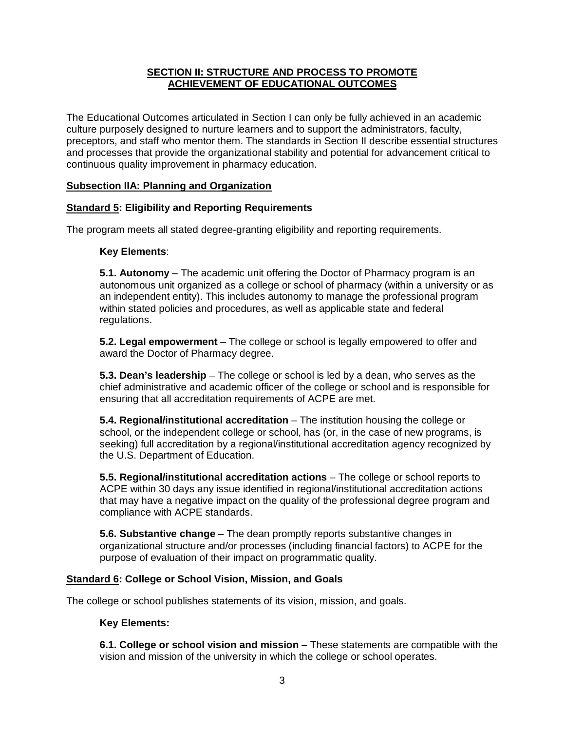### **SECTION II: STRUCTURE AND PROCESS TO PROMOTE ACHIEVEMENT OF EDUCATIONAL OUTCOMES**

The Educational Outcomes articulated in Section I can only be fully achieved in an academic culture purposely designed to nurture learners and to support the administrators, faculty, preceptors, and staff who mentor them. The standards in Section II describe essential structures and processes that provide the organizational stability and potential for advancement critical to continuous quality improvement in pharmacy education.

### **Subsection IIA: Planning and Organization**

## **Standard 5: Eligibility and Reporting Requirements**

The program meets all stated degree-granting eligibility and reporting requirements.

#### **Key Elements**:

**5.1. Autonomy** – The academic unit offering the Doctor of Pharmacy program is an autonomous unit organized as a college or school of pharmacy (within a university or as an independent entity). This includes autonomy to manage the professional program within stated policies and procedures, as well as applicable state and federal regulations.

**5.2. Legal empowerment** – The college or school is legally empowered to offer and award the Doctor of Pharmacy degree.

**5.3. Dean's leadership** – The college or school is led by a dean, who serves as the chief administrative and academic officer of the college or school and is responsible for ensuring that all accreditation requirements of ACPE are met.

**5.4. Regional/institutional accreditation** – The institution housing the college or school, or the independent college or school, has (or, in the case of new programs, is seeking) full accreditation by a regional/institutional accreditation agency recognized by the U.S. Department of Education.

**5.5. Regional/institutional accreditation actions** – The college or school reports to ACPE within 30 days any issue identified in regional/institutional accreditation actions that may have a negative impact on the quality of the professional degree program and compliance with ACPE standards.

**5.6. Substantive change** – The dean promptly reports substantive changes in organizational structure and/or processes (including financial factors) to ACPE for the purpose of evaluation of their impact on programmatic quality.

### **Standard 6: College or School Vision, Mission, and Goals**

The college or school publishes statements of its vision, mission, and goals.

### **Key Elements:**

**6.1. College or school vision and mission** – These statements are compatible with the vision and mission of the university in which the college or school operates.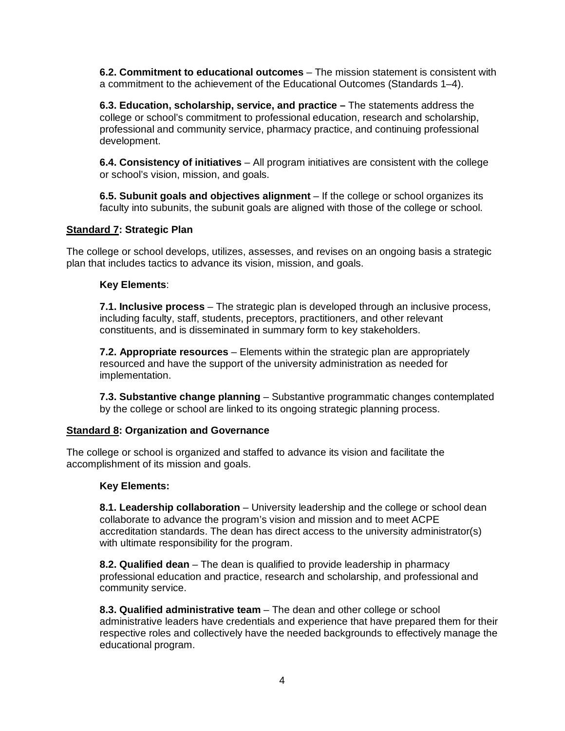**6.2. Commitment to educational outcomes** – The mission statement is consistent with a commitment to the achievement of the Educational Outcomes (Standards 1–4).

**6.3. Education, scholarship, service, and practice –** The statements address the college or school's commitment to professional education, research and scholarship, professional and community service, pharmacy practice, and continuing professional development.

**6.4. Consistency of initiatives** – All program initiatives are consistent with the college or school's vision, mission, and goals.

**6.5. Subunit goals and objectives alignment** – If the college or school organizes its faculty into subunits, the subunit goals are aligned with those of the college or school.

#### **Standard 7: Strategic Plan**

The college or school develops, utilizes, assesses, and revises on an ongoing basis a strategic plan that includes tactics to advance its vision, mission, and goals.

#### **Key Elements**:

**7.1. Inclusive process** – The strategic plan is developed through an inclusive process, including faculty, staff, students, preceptors, practitioners, and other relevant constituents, and is disseminated in summary form to key stakeholders.

**7.2. Appropriate resources** – Elements within the strategic plan are appropriately resourced and have the support of the university administration as needed for implementation.

**7.3. Substantive change planning** – Substantive programmatic changes contemplated by the college or school are linked to its ongoing strategic planning process.

#### **Standard 8: Organization and Governance**

The college or school is organized and staffed to advance its vision and facilitate the accomplishment of its mission and goals.

#### **Key Elements:**

**8.1. Leadership collaboration** – University leadership and the college or school dean collaborate to advance the program's vision and mission and to meet ACPE accreditation standards. The dean has direct access to the university administrator(s) with ultimate responsibility for the program.

**8.2. Qualified dean** – The dean is qualified to provide leadership in pharmacy professional education and practice, research and scholarship, and professional and community service.

**8.3. Qualified administrative team** – The dean and other college or school administrative leaders have credentials and experience that have prepared them for their respective roles and collectively have the needed backgrounds to effectively manage the educational program.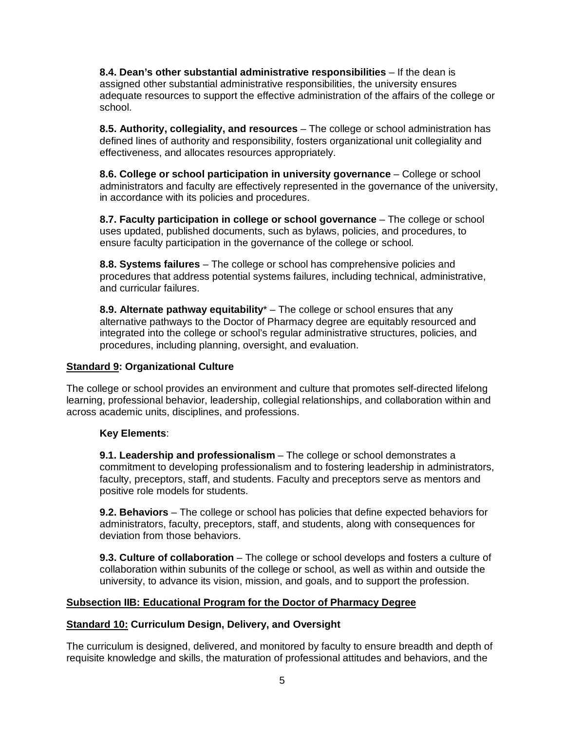**8.4. Dean's other substantial administrative responsibilities** – If the dean is assigned other substantial administrative responsibilities, the university ensures adequate resources to support the effective administration of the affairs of the college or school.

**8.5. Authority, collegiality, and resources** – The college or school administration has defined lines of authority and responsibility, fosters organizational unit collegiality and effectiveness, and allocates resources appropriately.

**8.6. College or school participation in university governance** – College or school administrators and faculty are effectively represented in the governance of the university, in accordance with its policies and procedures.

**8.7. Faculty participation in college or school governance** – The college or school uses updated, published documents, such as bylaws, policies, and procedures, to ensure faculty participation in the governance of the college or school.

**8.8. Systems failures** – The college or school has comprehensive policies and procedures that address potential systems failures, including technical, administrative, and curricular failures.

**8.9. Alternate pathway equitability**\* – The college or school ensures that any alternative pathways to the Doctor of Pharmacy degree are equitably resourced and integrated into the college or school's regular administrative structures, policies, and procedures, including planning, oversight, and evaluation.

#### **Standard 9: Organizational Culture**

The college or school provides an environment and culture that promotes self-directed lifelong learning, professional behavior, leadership, collegial relationships, and collaboration within and across academic units, disciplines, and professions.

### **Key Elements**:

**9.1. Leadership and professionalism** – The college or school demonstrates a commitment to developing professionalism and to fostering leadership in administrators, faculty, preceptors, staff, and students. Faculty and preceptors serve as mentors and positive role models for students.

**9.2. Behaviors** – The college or school has policies that define expected behaviors for administrators, faculty, preceptors, staff, and students, along with consequences for deviation from those behaviors.

**9.3. Culture of collaboration** – The college or school develops and fosters a culture of collaboration within subunits of the college or school, as well as within and outside the university, to advance its vision, mission, and goals, and to support the profession.

#### **Subsection IIB: Educational Program for the Doctor of Pharmacy Degree**

### **Standard 10: Curriculum Design, Delivery, and Oversight**

The curriculum is designed, delivered, and monitored by faculty to ensure breadth and depth of requisite knowledge and skills, the maturation of professional attitudes and behaviors, and the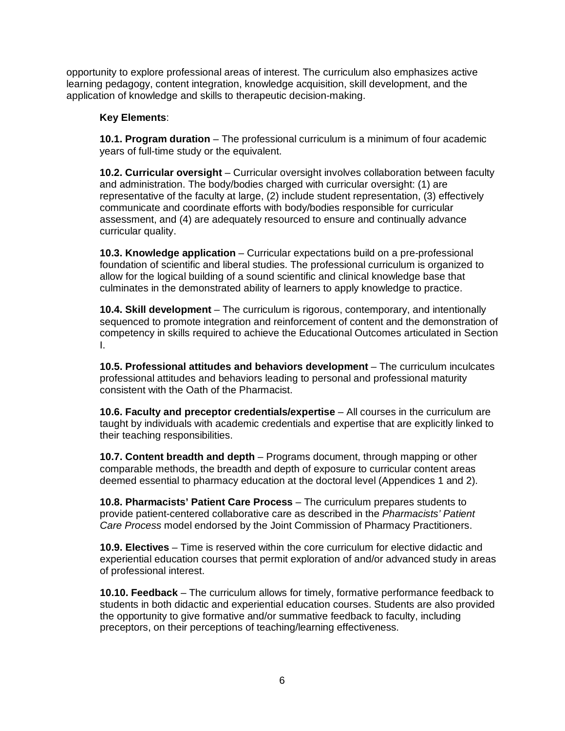opportunity to explore professional areas of interest. The curriculum also emphasizes active learning pedagogy, content integration, knowledge acquisition, skill development, and the application of knowledge and skills to therapeutic decision-making.

### **Key Elements**:

**10.1. Program duration** – The professional curriculum is a minimum of four academic years of full-time study or the equivalent.

**10.2. Curricular oversight** – Curricular oversight involves collaboration between faculty and administration. The body/bodies charged with curricular oversight: (1) are representative of the faculty at large, (2) include student representation, (3) effectively communicate and coordinate efforts with body/bodies responsible for curricular assessment, and (4) are adequately resourced to ensure and continually advance curricular quality.

**10.3. Knowledge application** – Curricular expectations build on a pre-professional foundation of scientific and liberal studies. The professional curriculum is organized to allow for the logical building of a sound scientific and clinical knowledge base that culminates in the demonstrated ability of learners to apply knowledge to practice.

**10.4. Skill development** – The curriculum is rigorous, contemporary, and intentionally sequenced to promote integration and reinforcement of content and the demonstration of competency in skills required to achieve the Educational Outcomes articulated in Section I.

**10.5. Professional attitudes and behaviors development** – The curriculum inculcates professional attitudes and behaviors leading to personal and professional maturity consistent with the Oath of the Pharmacist.

**10.6. Faculty and preceptor credentials/expertise** – All courses in the curriculum are taught by individuals with academic credentials and expertise that are explicitly linked to their teaching responsibilities.

**10.7. Content breadth and depth** – Programs document, through mapping or other comparable methods, the breadth and depth of exposure to curricular content areas deemed essential to pharmacy education at the doctoral level (Appendices 1 and 2).

**10.8. Pharmacists' Patient Care Process** – The curriculum prepares students to provide patient-centered collaborative care as described in the *Pharmacists' Patient Care Process* model endorsed by the Joint Commission of Pharmacy Practitioners.

**10.9. Electives** – Time is reserved within the core curriculum for elective didactic and experiential education courses that permit exploration of and/or advanced study in areas of professional interest.

**10.10. Feedback** – The curriculum allows for timely, formative performance feedback to students in both didactic and experiential education courses. Students are also provided the opportunity to give formative and/or summative feedback to faculty, including preceptors, on their perceptions of teaching/learning effectiveness.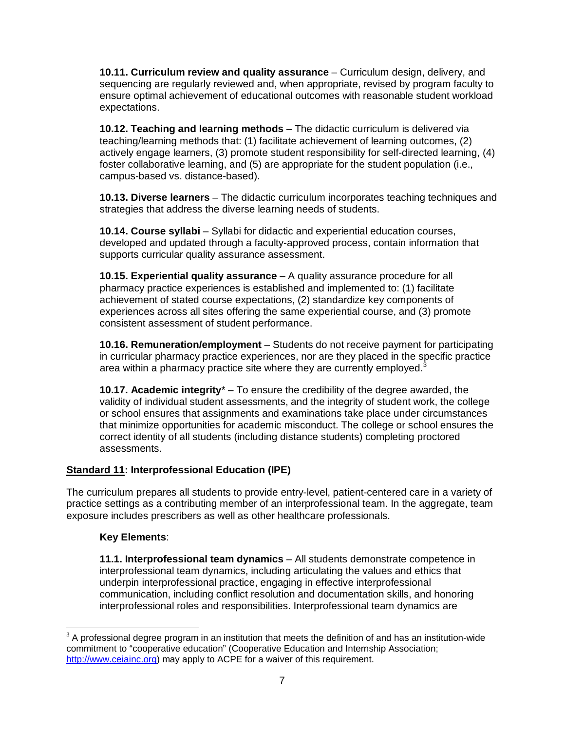**10.11. Curriculum review and quality assurance** – Curriculum design, delivery, and sequencing are regularly reviewed and, when appropriate, revised by program faculty to ensure optimal achievement of educational outcomes with reasonable student workload expectations.

**10.12. Teaching and learning methods** – The didactic curriculum is delivered via teaching/learning methods that: (1) facilitate achievement of learning outcomes, (2) actively engage learners, (3) promote student responsibility for self-directed learning, (4) foster collaborative learning, and (5) are appropriate for the student population (i.e., campus-based vs. distance-based).

**10.13. Diverse learners** – The didactic curriculum incorporates teaching techniques and strategies that address the diverse learning needs of students.

**10.14. Course syllabi** – Syllabi for didactic and experiential education courses, developed and updated through a faculty-approved process, contain information that supports curricular quality assurance assessment.

**10.15. Experiential quality assurance** – A quality assurance procedure for all pharmacy practice experiences is established and implemented to: (1) facilitate achievement of stated course expectations, (2) standardize key components of experiences across all sites offering the same experiential course, and (3) promote consistent assessment of student performance.

**10.16. Remuneration/employment** – Students do not receive payment for participating in curricular pharmacy practice experiences, nor are they placed in the specific practice area within a pharmacy practice site where they are currently employed. $3$ 

**10.17. Academic integrity**\* – To ensure the credibility of the degree awarded, the validity of individual student assessments, and the integrity of student work, the college or school ensures that assignments and examinations take place under circumstances that minimize opportunities for academic misconduct. The college or school ensures the correct identity of all students (including distance students) completing proctored assessments.

## **Standard 11: Interprofessional Education (IPE)**

The curriculum prepares all students to provide entry-level, patient-centered care in a variety of practice settings as a contributing member of an interprofessional team. In the aggregate, team exposure includes prescribers as well as other healthcare professionals.

### **Key Elements**:

**11.1. Interprofessional team dynamics** – All students demonstrate competence in interprofessional team dynamics, including articulating the values and ethics that underpin interprofessional practice, engaging in effective interprofessional communication, including conflict resolution and documentation skills, and honoring interprofessional roles and responsibilities. Interprofessional team dynamics are

<span id="page-14-0"></span> $3$  A professional degree program in an institution that meets the definition of and has an institution-wide commitment to "cooperative education" (Cooperative Education and Internship Association; [http://www.ceiainc.org\)](http://www.ceiainc.org/) may apply to ACPE for a waiver of this requirement.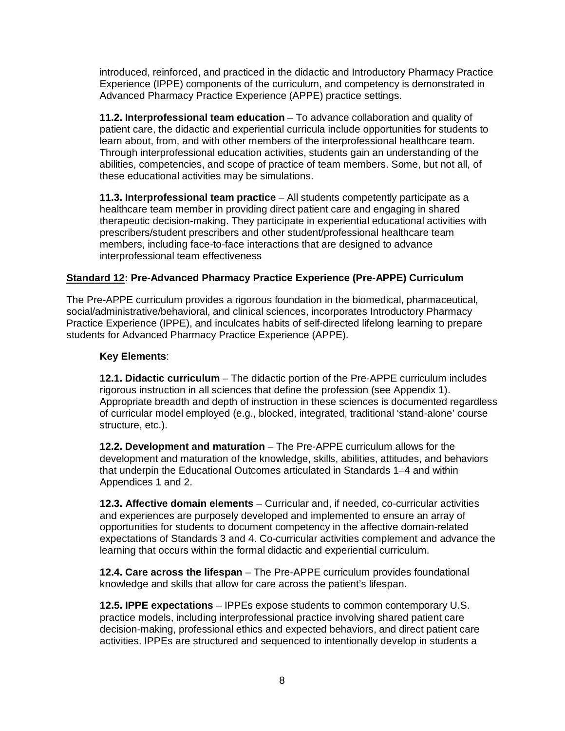introduced, reinforced, and practiced in the didactic and Introductory Pharmacy Practice Experience (IPPE) components of the curriculum, and competency is demonstrated in Advanced Pharmacy Practice Experience (APPE) practice settings.

**11.2. Interprofessional team education** – To advance collaboration and quality of patient care, the didactic and experiential curricula include opportunities for students to learn about, from, and with other members of the interprofessional healthcare team. Through interprofessional education activities, students gain an understanding of the abilities, competencies, and scope of practice of team members. Some, but not all, of these educational activities may be simulations.

**11.3. Interprofessional team practice** – All students competently participate as a healthcare team member in providing direct patient care and engaging in shared therapeutic decision-making. They participate in experiential educational activities with prescribers/student prescribers and other student/professional healthcare team members, including face-to-face interactions that are designed to advance interprofessional team effectiveness

## **Standard 12: Pre-Advanced Pharmacy Practice Experience (Pre-APPE) Curriculum**

The Pre-APPE curriculum provides a rigorous foundation in the biomedical, pharmaceutical, social/administrative/behavioral, and clinical sciences, incorporates Introductory Pharmacy Practice Experience (IPPE), and inculcates habits of self-directed lifelong learning to prepare students for Advanced Pharmacy Practice Experience (APPE).

## **Key Elements**:

**12.1. Didactic curriculum** – The didactic portion of the Pre-APPE curriculum includes rigorous instruction in all sciences that define the profession (see Appendix 1). Appropriate breadth and depth of instruction in these sciences is documented regardless of curricular model employed (e.g., blocked, integrated, traditional 'stand-alone' course structure, etc.).

**12.2. Development and maturation** – The Pre-APPE curriculum allows for the development and maturation of the knowledge, skills, abilities, attitudes, and behaviors that underpin the Educational Outcomes articulated in Standards 1–4 and within Appendices 1 and 2.

**12.3. Affective domain elements** – Curricular and, if needed, co-curricular activities and experiences are purposely developed and implemented to ensure an array of opportunities for students to document competency in the affective domain-related expectations of Standards 3 and 4. Co-curricular activities complement and advance the learning that occurs within the formal didactic and experiential curriculum.

**12.4. Care across the lifespan** – The Pre-APPE curriculum provides foundational knowledge and skills that allow for care across the patient's lifespan.

**12.5. IPPE expectations** – IPPEs expose students to common contemporary U.S. practice models, including interprofessional practice involving shared patient care decision-making, professional ethics and expected behaviors, and direct patient care activities. IPPEs are structured and sequenced to intentionally develop in students a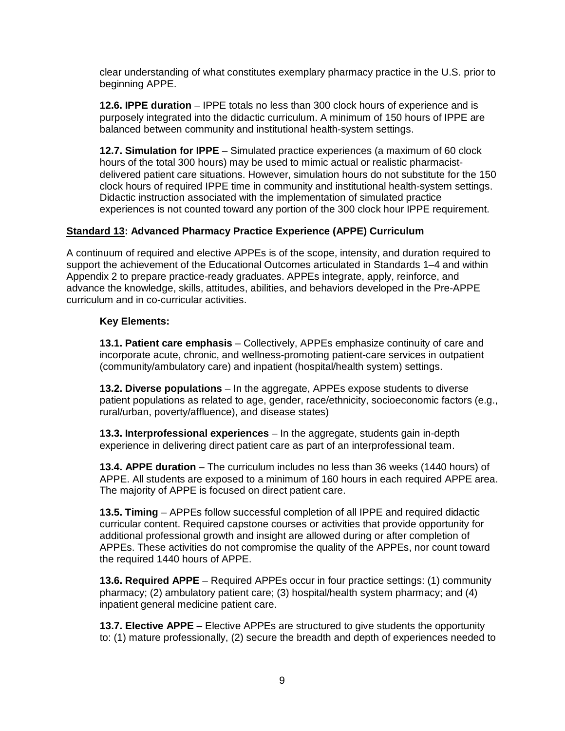clear understanding of what constitutes exemplary pharmacy practice in the U.S. prior to beginning APPE.

**12.6. IPPE duration** – IPPE totals no less than 300 clock hours of experience and is purposely integrated into the didactic curriculum. A minimum of 150 hours of IPPE are balanced between community and institutional health-system settings.

**12.7. Simulation for IPPE** – Simulated practice experiences (a maximum of 60 clock hours of the total 300 hours) may be used to mimic actual or realistic pharmacistdelivered patient care situations. However, simulation hours do not substitute for the 150 clock hours of required IPPE time in community and institutional health-system settings. Didactic instruction associated with the implementation of simulated practice experiences is not counted toward any portion of the 300 clock hour IPPE requirement.

### **Standard 13: Advanced Pharmacy Practice Experience (APPE) Curriculum**

A continuum of required and elective APPEs is of the scope, intensity, and duration required to support the achievement of the Educational Outcomes articulated in Standards 1–4 and within Appendix 2 to prepare practice-ready graduates. APPEs integrate, apply, reinforce, and advance the knowledge, skills, attitudes, abilities, and behaviors developed in the Pre-APPE curriculum and in co-curricular activities.

#### **Key Elements:**

**13.1. Patient care emphasis** – Collectively, APPEs emphasize continuity of care and incorporate acute, chronic, and wellness-promoting patient-care services in outpatient (community/ambulatory care) and inpatient (hospital/health system) settings.

**13.2. Diverse populations** – In the aggregate, APPEs expose students to diverse patient populations as related to age, gender, race/ethnicity, socioeconomic factors (e.g., rural/urban, poverty/affluence), and disease states)

**13.3. Interprofessional experiences** – In the aggregate, students gain in-depth experience in delivering direct patient care as part of an interprofessional team.

**13.4. APPE duration** – The curriculum includes no less than 36 weeks (1440 hours) of APPE. All students are exposed to a minimum of 160 hours in each required APPE area. The majority of APPE is focused on direct patient care.

**13.5. Timing** – APPEs follow successful completion of all IPPE and required didactic curricular content. Required capstone courses or activities that provide opportunity for additional professional growth and insight are allowed during or after completion of APPEs. These activities do not compromise the quality of the APPEs, nor count toward the required 1440 hours of APPE.

**13.6. Required APPE** – Required APPEs occur in four practice settings: (1) community pharmacy; (2) ambulatory patient care; (3) hospital/health system pharmacy; and (4) inpatient general medicine patient care.

**13.7. Elective APPE** – Elective APPEs are structured to give students the opportunity to: (1) mature professionally, (2) secure the breadth and depth of experiences needed to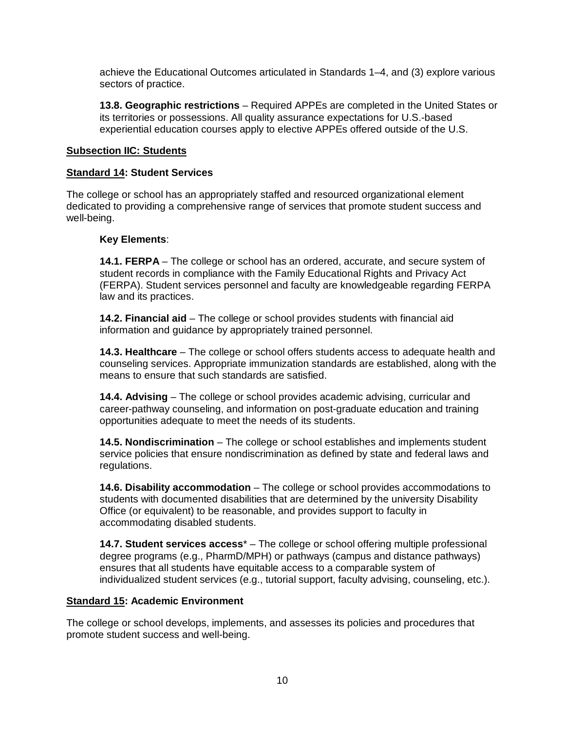achieve the Educational Outcomes articulated in Standards 1–4, and (3) explore various sectors of practice.

**13.8. Geographic restrictions** – Required APPEs are completed in the United States or its territories or possessions. All quality assurance expectations for U.S.-based experiential education courses apply to elective APPEs offered outside of the U.S.

#### **Subsection IIC: Students**

#### **Standard 14: Student Services**

The college or school has an appropriately staffed and resourced organizational element dedicated to providing a comprehensive range of services that promote student success and well-being.

#### **Key Elements**:

**14.1. FERPA** – The college or school has an ordered, accurate, and secure system of student records in compliance with the Family Educational Rights and Privacy Act (FERPA). Student services personnel and faculty are knowledgeable regarding FERPA law and its practices.

**14.2. Financial aid** – The college or school provides students with financial aid information and guidance by appropriately trained personnel.

**14.3. Healthcare** – The college or school offers students access to adequate health and counseling services. Appropriate immunization standards are established, along with the means to ensure that such standards are satisfied.

**14.4. Advising** – The college or school provides academic advising, curricular and career-pathway counseling, and information on post-graduate education and training opportunities adequate to meet the needs of its students.

**14.5. Nondiscrimination** – The college or school establishes and implements student service policies that ensure nondiscrimination as defined by state and federal laws and regulations.

**14.6. Disability accommodation** – The college or school provides accommodations to students with documented disabilities that are determined by the university Disability Office (or equivalent) to be reasonable, and provides support to faculty in accommodating disabled students.

**14.7. Student services access**\* – The college or school offering multiple professional degree programs (e.g., PharmD/MPH) or pathways (campus and distance pathways) ensures that all students have equitable access to a comparable system of individualized student services (e.g., tutorial support, faculty advising, counseling, etc.).

### **Standard 15: Academic Environment**

The college or school develops, implements, and assesses its policies and procedures that promote student success and well-being.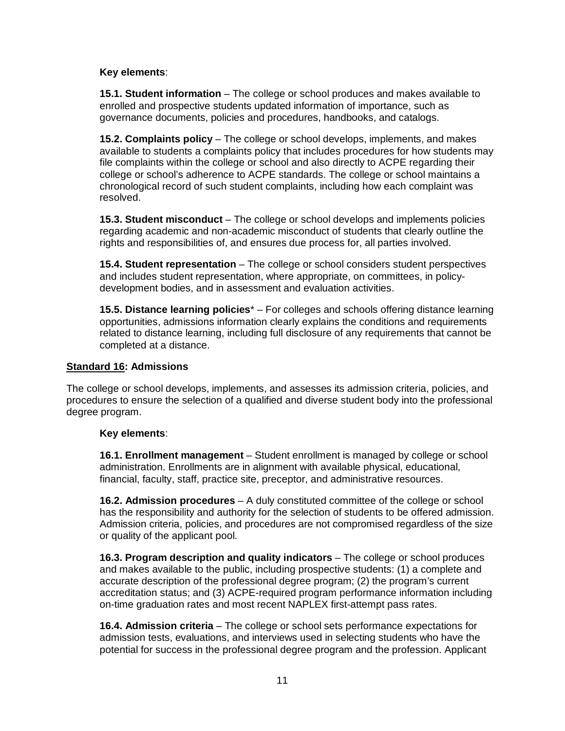### **Key elements**:

**15.1. Student information** – The college or school produces and makes available to enrolled and prospective students updated information of importance, such as governance documents, policies and procedures, handbooks, and catalogs.

**15.2. Complaints policy** – The college or school develops, implements, and makes available to students a complaints policy that includes procedures for how students may file complaints within the college or school and also directly to ACPE regarding their college or school's adherence to ACPE standards. The college or school maintains a chronological record of such student complaints, including how each complaint was resolved.

**15.3. Student misconduct** – The college or school develops and implements policies regarding academic and non-academic misconduct of students that clearly outline the rights and responsibilities of, and ensures due process for, all parties involved.

**15.4. Student representation** – The college or school considers student perspectives and includes student representation, where appropriate, on committees, in policydevelopment bodies, and in assessment and evaluation activities.

**15.5. Distance learning policies**\* – For colleges and schools offering distance learning opportunities, admissions information clearly explains the conditions and requirements related to distance learning, including full disclosure of any requirements that cannot be completed at a distance.

#### **Standard 16: Admissions**

The college or school develops, implements, and assesses its admission criteria, policies, and procedures to ensure the selection of a qualified and diverse student body into the professional degree program.

#### **Key elements**:

**16.1. Enrollment management** – Student enrollment is managed by college or school administration. Enrollments are in alignment with available physical, educational, financial, faculty, staff, practice site, preceptor, and administrative resources.

**16.2. Admission procedures** – A duly constituted committee of the college or school has the responsibility and authority for the selection of students to be offered admission. Admission criteria, policies, and procedures are not compromised regardless of the size or quality of the applicant pool.

**16.3. Program description and quality indicators** – The college or school produces and makes available to the public, including prospective students: (1) a complete and accurate description of the professional degree program; (2) the program's current accreditation status; and (3) ACPE-required program performance information including on-time graduation rates and most recent NAPLEX first-attempt pass rates.

**16.4. Admission criteria** – The college or school sets performance expectations for admission tests, evaluations, and interviews used in selecting students who have the potential for success in the professional degree program and the profession. Applicant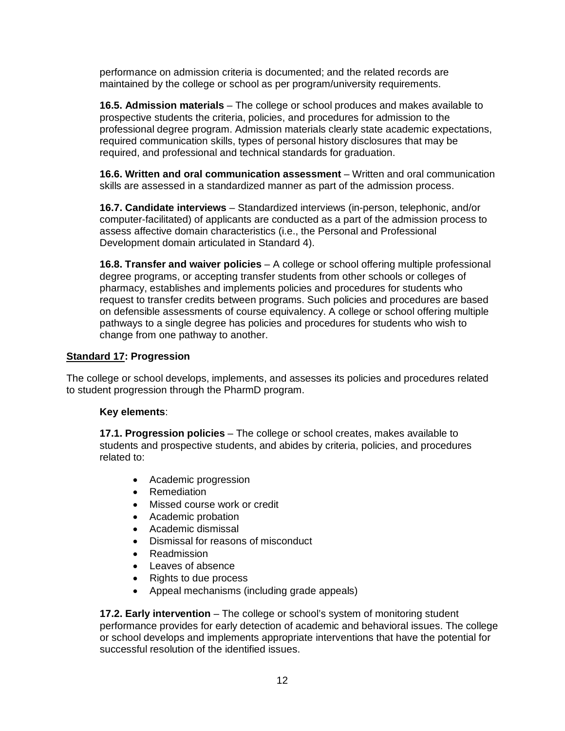performance on admission criteria is documented; and the related records are maintained by the college or school as per program/university requirements.

**16.5. Admission materials** – The college or school produces and makes available to prospective students the criteria, policies, and procedures for admission to the professional degree program. Admission materials clearly state academic expectations, required communication skills, types of personal history disclosures that may be required, and professional and technical standards for graduation.

**16.6. Written and oral communication assessment** – Written and oral communication skills are assessed in a standardized manner as part of the admission process.

**16.7. Candidate interviews** – Standardized interviews (in-person, telephonic, and/or computer-facilitated) of applicants are conducted as a part of the admission process to assess affective domain characteristics (i.e., the Personal and Professional Development domain articulated in Standard 4).

**16.8. Transfer and waiver policies** – A college or school offering multiple professional degree programs, or accepting transfer students from other schools or colleges of pharmacy, establishes and implements policies and procedures for students who request to transfer credits between programs. Such policies and procedures are based on defensible assessments of course equivalency. A college or school offering multiple pathways to a single degree has policies and procedures for students who wish to change from one pathway to another.

### **Standard 17: Progression**

The college or school develops, implements, and assesses its policies and procedures related to student progression through the PharmD program.

#### **Key elements**:

**17.1. Progression policies** – The college or school creates, makes available to students and prospective students, and abides by criteria, policies, and procedures related to:

- Academic progression
- Remediation
- Missed course work or credit
- Academic probation
- Academic dismissal
- Dismissal for reasons of misconduct
- Readmission
- Leaves of absence
- Rights to due process
- Appeal mechanisms (including grade appeals)

**17.2. Early intervention** – The college or school's system of monitoring student performance provides for early detection of academic and behavioral issues. The college or school develops and implements appropriate interventions that have the potential for successful resolution of the identified issues.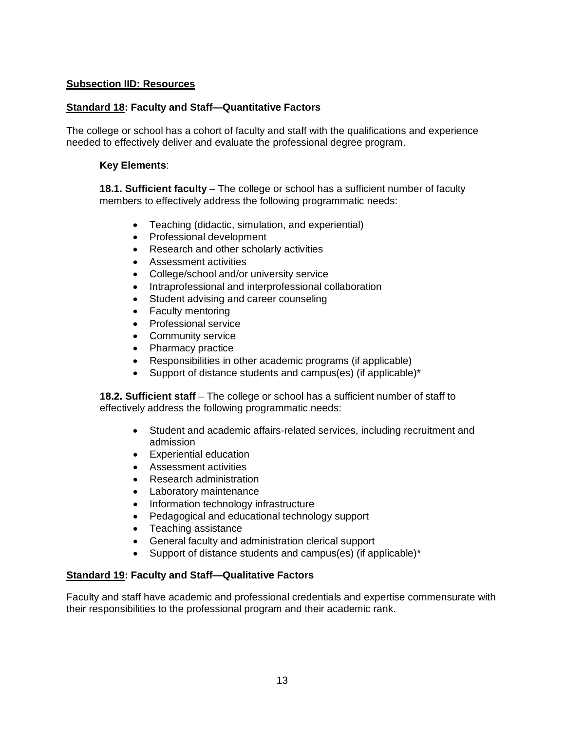### **Subsection IID: Resources**

## **Standard 18: Faculty and Staff—Quantitative Factors**

The college or school has a cohort of faculty and staff with the qualifications and experience needed to effectively deliver and evaluate the professional degree program.

### **Key Elements**:

**18.1. Sufficient faculty** – The college or school has a sufficient number of faculty members to effectively address the following programmatic needs:

- Teaching (didactic, simulation, and experiential)
- Professional development
- Research and other scholarly activities
- Assessment activities
- College/school and/or university service
- Intraprofessional and interprofessional collaboration
- Student advising and career counseling
- Faculty mentoring
- Professional service
- Community service
- Pharmacy practice
- Responsibilities in other academic programs (if applicable)
- Support of distance students and campus(es) (if applicable)\*

**18.2. Sufficient staff** – The college or school has a sufficient number of staff to effectively address the following programmatic needs:

- Student and academic affairs-related services, including recruitment and admission
- Experiential education
- Assessment activities
- Research administration
- Laboratory maintenance
- Information technology infrastructure
- Pedagogical and educational technology support
- Teaching assistance
- General faculty and administration clerical support
- Support of distance students and campus(es) (if applicable)\*

### **Standard 19: Faculty and Staff—Qualitative Factors**

Faculty and staff have academic and professional credentials and expertise commensurate with their responsibilities to the professional program and their academic rank.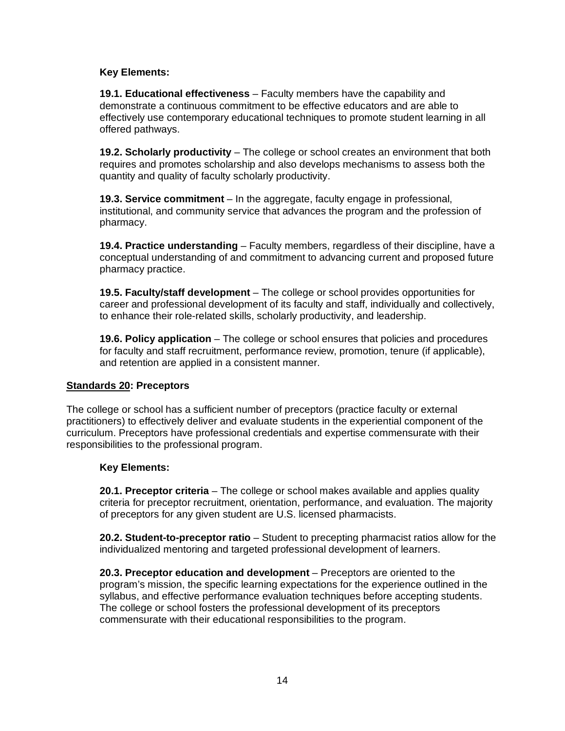### **Key Elements:**

**19.1. Educational effectiveness** – Faculty members have the capability and demonstrate a continuous commitment to be effective educators and are able to effectively use contemporary educational techniques to promote student learning in all offered pathways.

**19.2. Scholarly productivity** – The college or school creates an environment that both requires and promotes scholarship and also develops mechanisms to assess both the quantity and quality of faculty scholarly productivity.

**19.3. Service commitment** – In the aggregate, faculty engage in professional, institutional, and community service that advances the program and the profession of pharmacy.

**19.4. Practice understanding** – Faculty members, regardless of their discipline, have a conceptual understanding of and commitment to advancing current and proposed future pharmacy practice.

**19.5. Faculty/staff development** – The college or school provides opportunities for career and professional development of its faculty and staff, individually and collectively, to enhance their role-related skills, scholarly productivity, and leadership.

**19.6. Policy application** – The college or school ensures that policies and procedures for faculty and staff recruitment, performance review, promotion, tenure (if applicable), and retention are applied in a consistent manner.

### **Standards 20: Preceptors**

The college or school has a sufficient number of preceptors (practice faculty or external practitioners) to effectively deliver and evaluate students in the experiential component of the curriculum. Preceptors have professional credentials and expertise commensurate with their responsibilities to the professional program.

### **Key Elements:**

**20.1. Preceptor criteria** – The college or school makes available and applies quality criteria for preceptor recruitment, orientation, performance, and evaluation. The majority of preceptors for any given student are U.S. licensed pharmacists.

**20.2. Student-to-preceptor ratio** – Student to precepting pharmacist ratios allow for the individualized mentoring and targeted professional development of learners.

**20.3. Preceptor education and development** – Preceptors are oriented to the program's mission, the specific learning expectations for the experience outlined in the syllabus, and effective performance evaluation techniques before accepting students. The college or school fosters the professional development of its preceptors commensurate with their educational responsibilities to the program.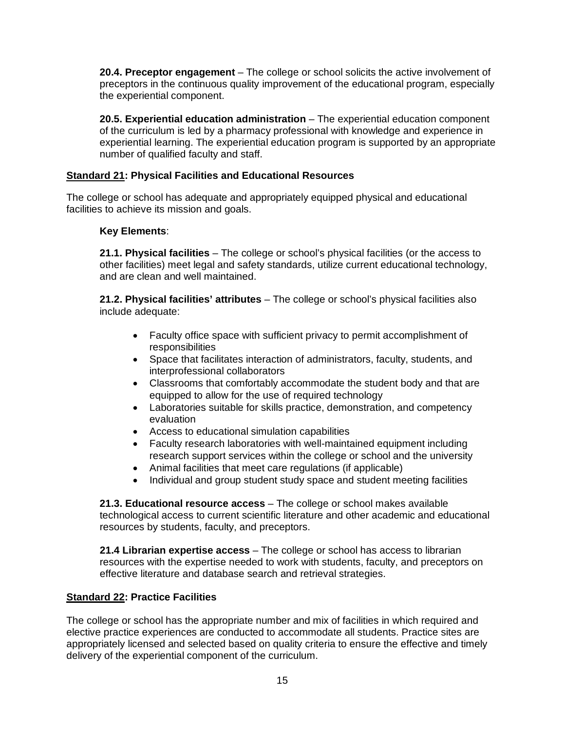**20.4. Preceptor engagement** – The college or school solicits the active involvement of preceptors in the continuous quality improvement of the educational program, especially the experiential component.

**20.5. Experiential education administration** – The experiential education component of the curriculum is led by a pharmacy professional with knowledge and experience in experiential learning. The experiential education program is supported by an appropriate number of qualified faculty and staff.

## **Standard 21: Physical Facilities and Educational Resources**

The college or school has adequate and appropriately equipped physical and educational facilities to achieve its mission and goals.

### **Key Elements**:

**21.1. Physical facilities** – The college or school's physical facilities (or the access to other facilities) meet legal and safety standards, utilize current educational technology, and are clean and well maintained.

**21.2. Physical facilities' attributes** – The college or school's physical facilities also include adequate:

- Faculty office space with sufficient privacy to permit accomplishment of responsibilities
- Space that facilitates interaction of administrators, faculty, students, and interprofessional collaborators
- Classrooms that comfortably accommodate the student body and that are equipped to allow for the use of required technology
- Laboratories suitable for skills practice, demonstration, and competency evaluation
- Access to educational simulation capabilities
- Faculty research laboratories with well-maintained equipment including research support services within the college or school and the university
- Animal facilities that meet care regulations (if applicable)
- Individual and group student study space and student meeting facilities

**21.3. Educational resource access** – The college or school makes available technological access to current scientific literature and other academic and educational resources by students, faculty, and preceptors.

**21.4 Librarian expertise access** – The college or school has access to librarian resources with the expertise needed to work with students, faculty, and preceptors on effective literature and database search and retrieval strategies.

### **Standard 22: Practice Facilities**

The college or school has the appropriate number and mix of facilities in which required and elective practice experiences are conducted to accommodate all students. Practice sites are appropriately licensed and selected based on quality criteria to ensure the effective and timely delivery of the experiential component of the curriculum.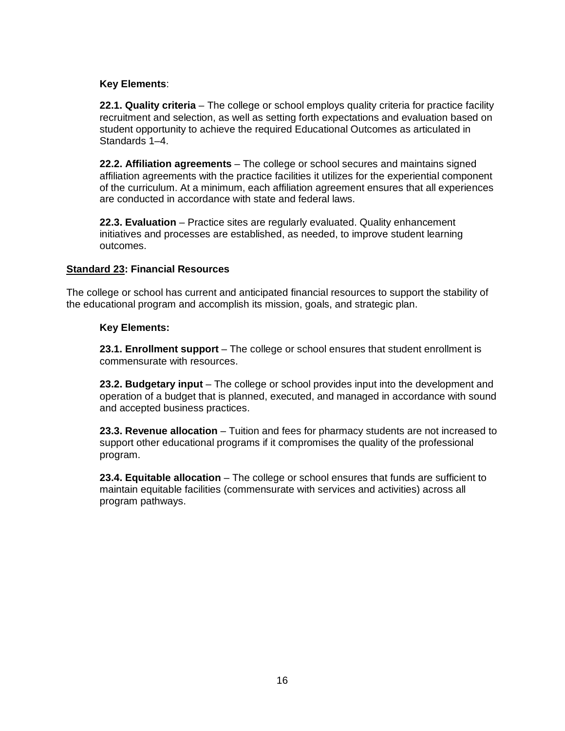### **Key Elements**:

**22.1. Quality criteria** – The college or school employs quality criteria for practice facility recruitment and selection, as well as setting forth expectations and evaluation based on student opportunity to achieve the required Educational Outcomes as articulated in Standards 1–4.

**22.2. Affiliation agreements** – The college or school secures and maintains signed affiliation agreements with the practice facilities it utilizes for the experiential component of the curriculum. At a minimum, each affiliation agreement ensures that all experiences are conducted in accordance with state and federal laws.

**22.3. Evaluation** – Practice sites are regularly evaluated. Quality enhancement initiatives and processes are established, as needed, to improve student learning outcomes.

### **Standard 23: Financial Resources**

The college or school has current and anticipated financial resources to support the stability of the educational program and accomplish its mission, goals, and strategic plan.

### **Key Elements:**

**23.1. Enrollment support** – The college or school ensures that student enrollment is commensurate with resources.

**23.2. Budgetary input** – The college or school provides input into the development and operation of a budget that is planned, executed, and managed in accordance with sound and accepted business practices.

**23.3. Revenue allocation** – Tuition and fees for pharmacy students are not increased to support other educational programs if it compromises the quality of the professional program.

**23.4. Equitable allocation** – The college or school ensures that funds are sufficient to maintain equitable facilities (commensurate with services and activities) across all program pathways.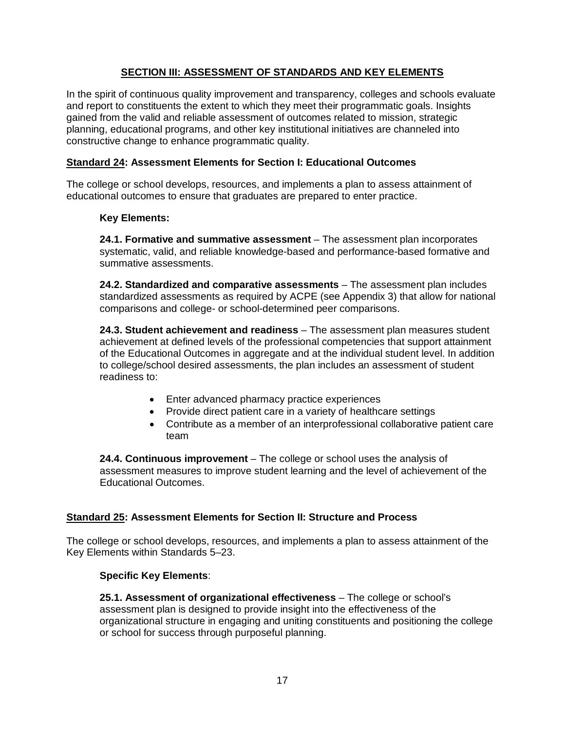## **SECTION III: ASSESSMENT OF STANDARDS AND KEY ELEMENTS**

In the spirit of continuous quality improvement and transparency, colleges and schools evaluate and report to constituents the extent to which they meet their programmatic goals. Insights gained from the valid and reliable assessment of outcomes related to mission, strategic planning, educational programs, and other key institutional initiatives are channeled into constructive change to enhance programmatic quality.

## **Standard 24: Assessment Elements for Section I: Educational Outcomes**

The college or school develops, resources, and implements a plan to assess attainment of educational outcomes to ensure that graduates are prepared to enter practice.

### **Key Elements:**

**24.1. Formative and summative assessment** – The assessment plan incorporates systematic, valid, and reliable knowledge-based and performance-based formative and summative assessments.

**24.2. Standardized and comparative assessments** – The assessment plan includes standardized assessments as required by ACPE (see Appendix 3) that allow for national comparisons and college- or school-determined peer comparisons.

**24.3. Student achievement and readiness** – The assessment plan measures student achievement at defined levels of the professional competencies that support attainment of the Educational Outcomes in aggregate and at the individual student level. In addition to college/school desired assessments, the plan includes an assessment of student readiness to:

- Enter advanced pharmacy practice experiences
- Provide direct patient care in a variety of healthcare settings
- Contribute as a member of an interprofessional collaborative patient care team

**24.4. Continuous improvement** – The college or school uses the analysis of assessment measures to improve student learning and the level of achievement of the Educational Outcomes.

### **Standard 25: Assessment Elements for Section II: Structure and Process**

The college or school develops, resources, and implements a plan to assess attainment of the Key Elements within Standards 5–23.

### **Specific Key Elements**:

**25.1. Assessment of organizational effectiveness** – The college or school's assessment plan is designed to provide insight into the effectiveness of the organizational structure in engaging and uniting constituents and positioning the college or school for success through purposeful planning.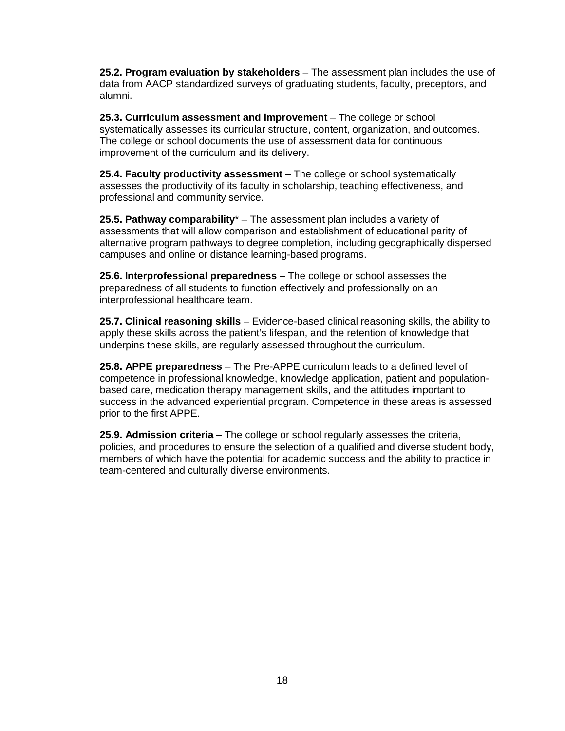**25.2. Program evaluation by stakeholders** – The assessment plan includes the use of data from AACP standardized surveys of graduating students, faculty, preceptors, and alumni.

**25.3. Curriculum assessment and improvement** – The college or school systematically assesses its curricular structure, content, organization, and outcomes. The college or school documents the use of assessment data for continuous improvement of the curriculum and its delivery.

**25.4. Faculty productivity assessment** – The college or school systematically assesses the productivity of its faculty in scholarship, teaching effectiveness, and professional and community service.

**25.5. Pathway comparability**\* – The assessment plan includes a variety of assessments that will allow comparison and establishment of educational parity of alternative program pathways to degree completion, including geographically dispersed campuses and online or distance learning-based programs.

**25.6. Interprofessional preparedness** – The college or school assesses the preparedness of all students to function effectively and professionally on an interprofessional healthcare team.

**25.7. Clinical reasoning skills** – Evidence-based clinical reasoning skills, the ability to apply these skills across the patient's lifespan, and the retention of knowledge that underpins these skills, are regularly assessed throughout the curriculum.

**25.8. APPE preparedness** – The Pre-APPE curriculum leads to a defined level of competence in professional knowledge, knowledge application, patient and populationbased care, medication therapy management skills, and the attitudes important to success in the advanced experiential program. Competence in these areas is assessed prior to the first APPE.

**25.9. Admission criteria** – The college or school regularly assesses the criteria, policies, and procedures to ensure the selection of a qualified and diverse student body, members of which have the potential for academic success and the ability to practice in team-centered and culturally diverse environments.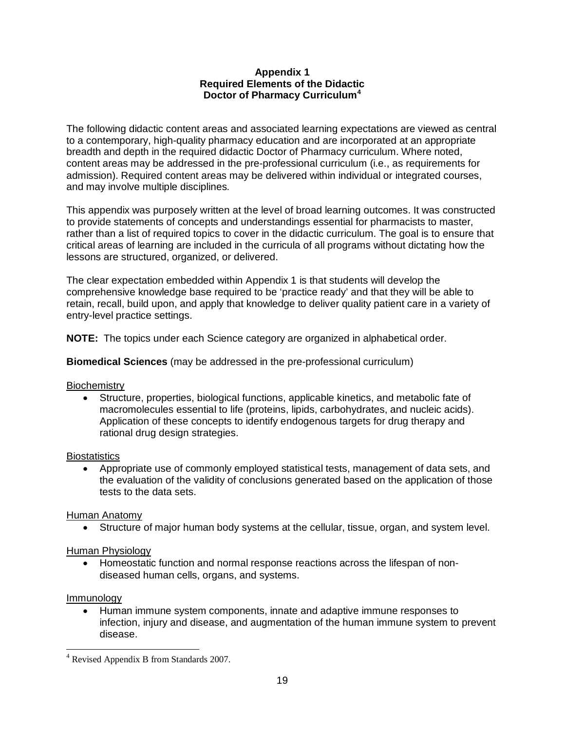#### **Appendix 1 Required Elements of the Didactic Doctor of Pharmacy Curriculum[4](#page-14-0)**

The following didactic content areas and associated learning expectations are viewed as central to a contemporary, high-quality pharmacy education and are incorporated at an appropriate breadth and depth in the required didactic Doctor of Pharmacy curriculum. Where noted, content areas may be addressed in the pre-professional curriculum (i.e., as requirements for admission). Required content areas may be delivered within individual or integrated courses, and may involve multiple disciplines*.* 

This appendix was purposely written at the level of broad learning outcomes. It was constructed to provide statements of concepts and understandings essential for pharmacists to master, rather than a list of required topics to cover in the didactic curriculum. The goal is to ensure that critical areas of learning are included in the curricula of all programs without dictating how the lessons are structured, organized, or delivered.

The clear expectation embedded within Appendix 1 is that students will develop the comprehensive knowledge base required to be 'practice ready' and that they will be able to retain, recall, build upon, and apply that knowledge to deliver quality patient care in a variety of entry-level practice settings.

**NOTE:** The topics under each Science category are organized in alphabetical order.

**Biomedical Sciences** (may be addressed in the pre-professional curriculum)

### **Biochemistry**

• Structure, properties, biological functions, applicable kinetics, and metabolic fate of macromolecules essential to life (proteins, lipids, carbohydrates, and nucleic acids). Application of these concepts to identify endogenous targets for drug therapy and rational drug design strategies.

#### **Biostatistics**

• Appropriate use of commonly employed statistical tests, management of data sets, and the evaluation of the validity of conclusions generated based on the application of those tests to the data sets.

### Human Anatomy

• Structure of major human body systems at the cellular, tissue, organ, and system level.

#### Human Physiology

• Homeostatic function and normal response reactions across the lifespan of nondiseased human cells, organs, and systems.

#### Immunology

• Human immune system components, innate and adaptive immune responses to infection, injury and disease, and augmentation of the human immune system to prevent disease.

<span id="page-26-0"></span><sup>&</sup>lt;sup>4</sup> Revised Appendix B from Standards 2007.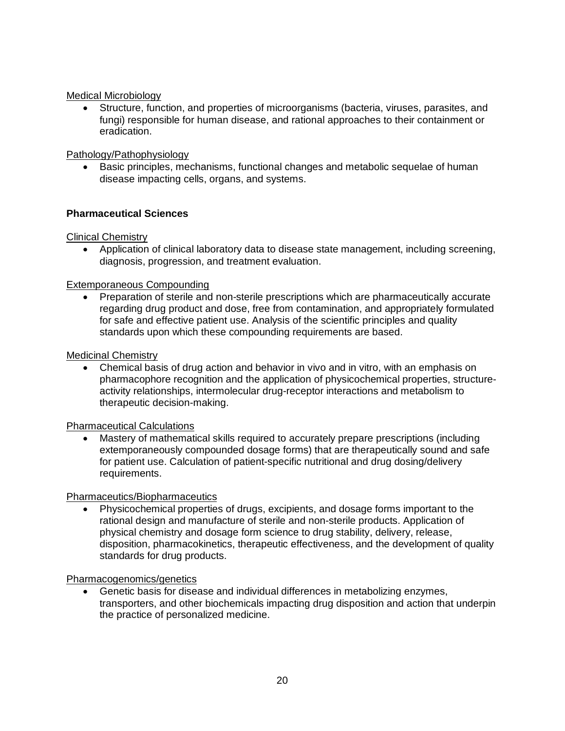### Medical Microbiology

• Structure, function, and properties of microorganisms (bacteria, viruses, parasites, and fungi) responsible for human disease, and rational approaches to their containment or eradication.

### Pathology/Pathophysiology

• Basic principles, mechanisms, functional changes and metabolic sequelae of human disease impacting cells, organs, and systems.

### **Pharmaceutical Sciences**

Clinical Chemistry

• Application of clinical laboratory data to disease state management, including screening, diagnosis, progression, and treatment evaluation.

#### Extemporaneous Compounding

• Preparation of sterile and non-sterile prescriptions which are pharmaceutically accurate regarding drug product and dose, free from contamination, and appropriately formulated for safe and effective patient use. Analysis of the scientific principles and quality standards upon which these compounding requirements are based.

#### Medicinal Chemistry

• Chemical basis of drug action and behavior in vivo and in vitro, with an emphasis on pharmacophore recognition and the application of physicochemical properties, structureactivity relationships, intermolecular drug-receptor interactions and metabolism to therapeutic decision-making.

#### Pharmaceutical Calculations

• Mastery of mathematical skills required to accurately prepare prescriptions (including extemporaneously compounded dosage forms) that are therapeutically sound and safe for patient use. Calculation of patient-specific nutritional and drug dosing/delivery requirements.

#### Pharmaceutics/Biopharmaceutics

• Physicochemical properties of drugs, excipients, and dosage forms important to the rational design and manufacture of sterile and non-sterile products. Application of physical chemistry and dosage form science to drug stability, delivery, release, disposition, pharmacokinetics, therapeutic effectiveness, and the development of quality standards for drug products.

Pharmacogenomics/genetics

• Genetic basis for disease and individual differences in metabolizing enzymes, transporters, and other biochemicals impacting drug disposition and action that underpin the practice of personalized medicine.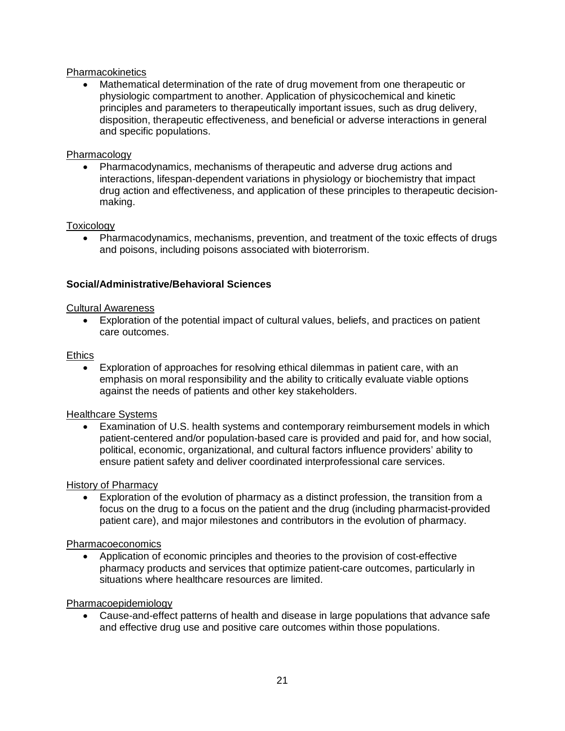## **Pharmacokinetics**

• Mathematical determination of the rate of drug movement from one therapeutic or physiologic compartment to another. Application of physicochemical and kinetic principles and parameters to therapeutically important issues, such as drug delivery, disposition, therapeutic effectiveness, and beneficial or adverse interactions in general and specific populations.

### Pharmacology

• Pharmacodynamics, mechanisms of therapeutic and adverse drug actions and interactions, lifespan-dependent variations in physiology or biochemistry that impact drug action and effectiveness, and application of these principles to therapeutic decisionmaking.

#### **Toxicology**

• Pharmacodynamics, mechanisms, prevention, and treatment of the toxic effects of drugs and poisons, including poisons associated with bioterrorism.

### **Social/Administrative/Behavioral Sciences**

#### Cultural Awareness

• Exploration of the potential impact of cultural values, beliefs, and practices on patient care outcomes.

#### **Ethics**

• Exploration of approaches for resolving ethical dilemmas in patient care, with an emphasis on moral responsibility and the ability to critically evaluate viable options against the needs of patients and other key stakeholders.

#### Healthcare Systems

• Examination of U.S. health systems and contemporary reimbursement models in which patient-centered and/or population-based care is provided and paid for, and how social, political, economic, organizational, and cultural factors influence providers' ability to ensure patient safety and deliver coordinated interprofessional care services.

#### History of Pharmacy

• Exploration of the evolution of pharmacy as a distinct profession, the transition from a focus on the drug to a focus on the patient and the drug (including pharmacist-provided patient care), and major milestones and contributors in the evolution of pharmacy.

#### Pharmacoeconomics

• Application of economic principles and theories to the provision of cost-effective pharmacy products and services that optimize patient-care outcomes, particularly in situations where healthcare resources are limited.

#### Pharmacoepidemiology

• Cause-and-effect patterns of health and disease in large populations that advance safe and effective drug use and positive care outcomes within those populations.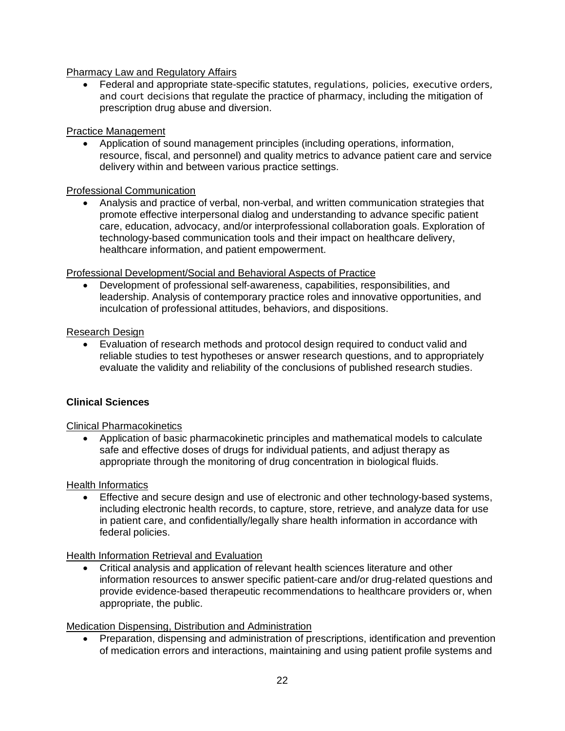## Pharmacy Law and Regulatory Affairs

• Federal and appropriate state-specific statutes, regulations, policies, executive orders, and court decisions that regulate the practice of pharmacy, including the mitigation of prescription drug abuse and diversion.

### Practice Management

• Application of sound management principles (including operations, information, resource, fiscal, and personnel) and quality metrics to advance patient care and service delivery within and between various practice settings.

## Professional Communication

• Analysis and practice of verbal, non-verbal, and written communication strategies that promote effective interpersonal dialog and understanding to advance specific patient care, education, advocacy, and/or interprofessional collaboration goals. Exploration of technology-based communication tools and their impact on healthcare delivery, healthcare information, and patient empowerment.

### Professional Development/Social and Behavioral Aspects of Practice

• Development of professional self-awareness, capabilities, responsibilities, and leadership. Analysis of contemporary practice roles and innovative opportunities, and inculcation of professional attitudes, behaviors, and dispositions.

## Research Design

• Evaluation of research methods and protocol design required to conduct valid and reliable studies to test hypotheses or answer research questions, and to appropriately evaluate the validity and reliability of the conclusions of published research studies.

## **Clinical Sciences**

### Clinical Pharmacokinetics

• Application of basic pharmacokinetic principles and mathematical models to calculate safe and effective doses of drugs for individual patients, and adjust therapy as appropriate through the monitoring of drug concentration in biological fluids.

### Health Informatics

• Effective and secure design and use of electronic and other technology-based systems, including electronic health records, to capture, store, retrieve, and analyze data for use in patient care, and confidentially/legally share health information in accordance with federal policies.

### Health Information Retrieval and Evaluation

• Critical analysis and application of relevant health sciences literature and other information resources to answer specific patient-care and/or drug-related questions and provide evidence-based therapeutic recommendations to healthcare providers or, when appropriate, the public.

Medication Dispensing, Distribution and Administration

• Preparation, dispensing and administration of prescriptions, identification and prevention of medication errors and interactions, maintaining and using patient profile systems and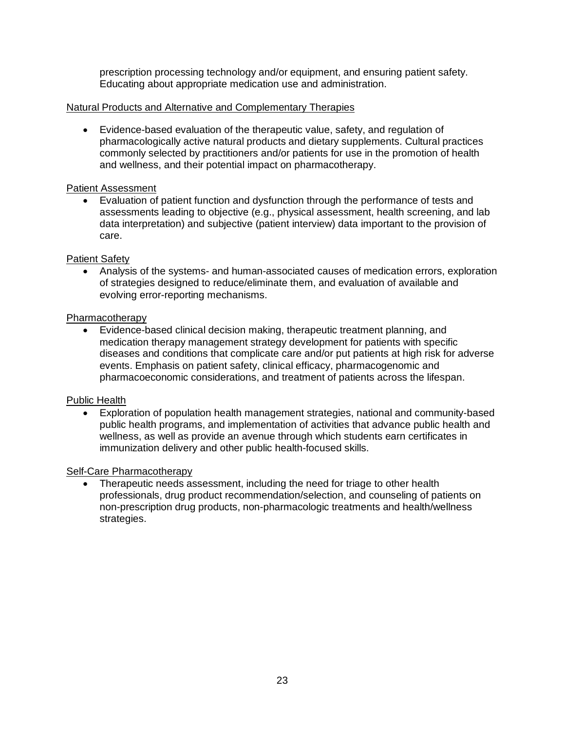prescription processing technology and/or equipment, and ensuring patient safety. Educating about appropriate medication use and administration.

#### Natural Products and Alternative and Complementary Therapies

• Evidence-based evaluation of the therapeutic value, safety, and regulation of pharmacologically active natural products and dietary supplements. Cultural practices commonly selected by practitioners and/or patients for use in the promotion of health and wellness, and their potential impact on pharmacotherapy.

#### Patient Assessment

• Evaluation of patient function and dysfunction through the performance of tests and assessments leading to objective (e.g., physical assessment, health screening, and lab data interpretation) and subjective (patient interview) data important to the provision of care.

### Patient Safety

• Analysis of the systems- and human-associated causes of medication errors, exploration of strategies designed to reduce/eliminate them, and evaluation of available and evolving error-reporting mechanisms.

#### Pharmacotherapy

• Evidence-based clinical decision making, therapeutic treatment planning, and medication therapy management strategy development for patients with specific diseases and conditions that complicate care and/or put patients at high risk for adverse events. Emphasis on patient safety, clinical efficacy, pharmacogenomic and pharmacoeconomic considerations, and treatment of patients across the lifespan.

### Public Health

• Exploration of population health management strategies, national and community-based public health programs, and implementation of activities that advance public health and wellness, as well as provide an avenue through which students earn certificates in immunization delivery and other public health-focused skills.

### Self-Care Pharmacotherapy

• Therapeutic needs assessment, including the need for triage to other health professionals, drug product recommendation/selection, and counseling of patients on non-prescription drug products, non-pharmacologic treatments and health/wellness strategies.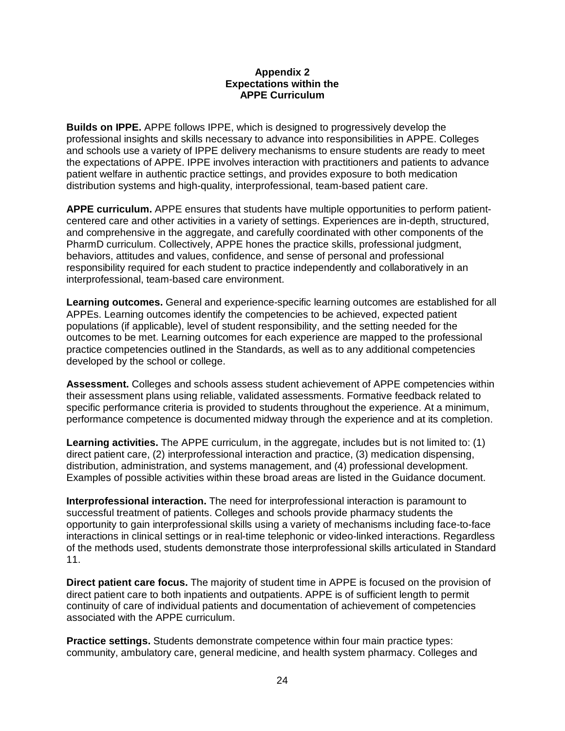#### **Appendix 2 Expectations within the APPE Curriculum**

**Builds on IPPE.** APPE follows IPPE, which is designed to progressively develop the professional insights and skills necessary to advance into responsibilities in APPE. Colleges and schools use a variety of IPPE delivery mechanisms to ensure students are ready to meet the expectations of APPE. IPPE involves interaction with practitioners and patients to advance patient welfare in authentic practice settings, and provides exposure to both medication distribution systems and high-quality, interprofessional, team-based patient care.

**APPE curriculum.** APPE ensures that students have multiple opportunities to perform patientcentered care and other activities in a variety of settings. Experiences are in-depth, structured, and comprehensive in the aggregate, and carefully coordinated with other components of the PharmD curriculum. Collectively, APPE hones the practice skills, professional judgment, behaviors, attitudes and values, confidence, and sense of personal and professional responsibility required for each student to practice independently and collaboratively in an interprofessional, team-based care environment.

**Learning outcomes.** General and experience-specific learning outcomes are established for all APPEs. Learning outcomes identify the competencies to be achieved, expected patient populations (if applicable), level of student responsibility, and the setting needed for the outcomes to be met. Learning outcomes for each experience are mapped to the professional practice competencies outlined in the Standards, as well as to any additional competencies developed by the school or college.

**Assessment.** Colleges and schools assess student achievement of APPE competencies within their assessment plans using reliable, validated assessments. Formative feedback related to specific performance criteria is provided to students throughout the experience. At a minimum, performance competence is documented midway through the experience and at its completion.

**Learning activities.** The APPE curriculum, in the aggregate, includes but is not limited to: (1) direct patient care, (2) interprofessional interaction and practice, (3) medication dispensing, distribution, administration, and systems management, and (4) professional development. Examples of possible activities within these broad areas are listed in the Guidance document.

**Interprofessional interaction.** The need for interprofessional interaction is paramount to successful treatment of patients. Colleges and schools provide pharmacy students the opportunity to gain interprofessional skills using a variety of mechanisms including face-to-face interactions in clinical settings or in real-time telephonic or video-linked interactions. Regardless of the methods used, students demonstrate those interprofessional skills articulated in Standard 11.

**Direct patient care focus.** The majority of student time in APPE is focused on the provision of direct patient care to both inpatients and outpatients. APPE is of sufficient length to permit continuity of care of individual patients and documentation of achievement of competencies associated with the APPE curriculum.

**Practice settings.** Students demonstrate competence within four main practice types: community, ambulatory care, general medicine, and health system pharmacy. Colleges and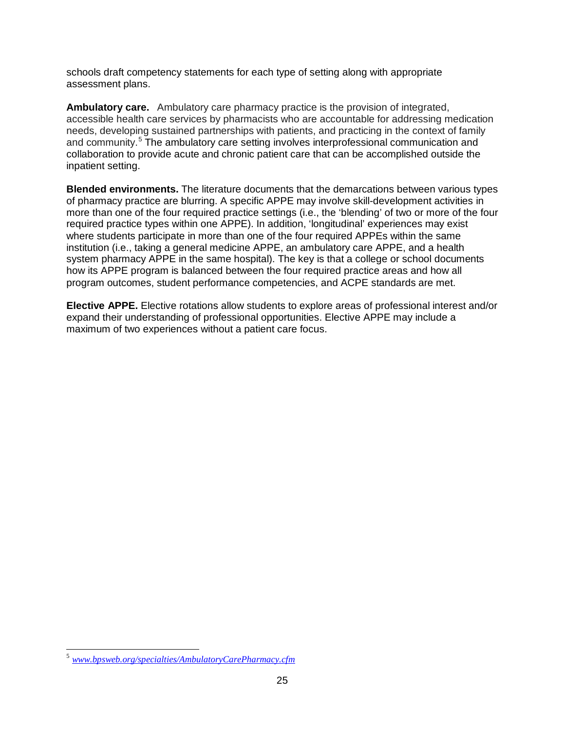schools draft competency statements for each type of setting along with appropriate assessment plans.

**Ambulatory care.** Ambulatory care pharmacy practice is the provision of integrated, accessible health care services by pharmacists who are accountable for addressing medication needs, developing sustained partnerships with patients, and practicing in the context of family and community.<sup>[5](#page-26-0)</sup> The ambulatory care setting involves interprofessional communication and collaboration to provide acute and chronic patient care that can be accomplished outside the inpatient setting.

**Blended environments.** The literature documents that the demarcations between various types of pharmacy practice are blurring. A specific APPE may involve skill-development activities in more than one of the four required practice settings (i.e., the 'blending' of two or more of the four required practice types within one APPE). In addition, 'longitudinal' experiences may exist where students participate in more than one of the four required APPEs within the same institution (i.e., taking a general medicine APPE, an ambulatory care APPE, and a health system pharmacy APPE in the same hospital). The key is that a college or school documents how its APPE program is balanced between the four required practice areas and how all program outcomes, student performance competencies, and ACPE standards are met.

**Elective APPE.** Elective rotations allow students to explore areas of professional interest and/or expand their understanding of professional opportunities. Elective APPE may include a maximum of two experiences without a patient care focus.

<sup>5</sup> *[www.bpsweb.org/specialties/AmbulatoryCarePharmacy.cfm](http://www.bpsweb.org/specialties/AmbulatoryCarePharmacy.cfm)*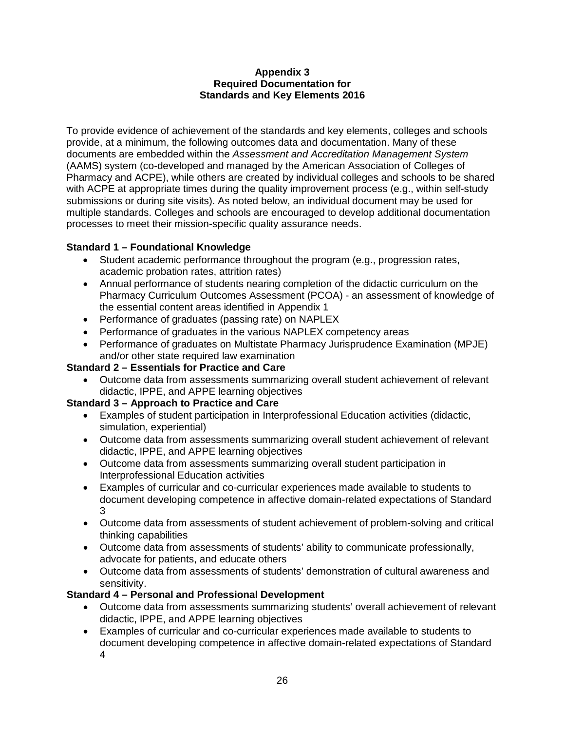### **Appendix 3 Required Documentation for Standards and Key Elements 2016**

To provide evidence of achievement of the standards and key elements, colleges and schools provide, at a minimum, the following outcomes data and documentation. Many of these documents are embedded within the *Assessment and Accreditation Management System* (AAMS) system (co-developed and managed by the American Association of Colleges of Pharmacy and ACPE), while others are created by individual colleges and schools to be shared with ACPE at appropriate times during the quality improvement process (e.g., within self-study submissions or during site visits). As noted below, an individual document may be used for multiple standards. Colleges and schools are encouraged to develop additional documentation processes to meet their mission-specific quality assurance needs.

## **Standard 1 – Foundational Knowledge**

- Student academic performance throughout the program (e.g., progression rates, academic probation rates, attrition rates)
- Annual performance of students nearing completion of the didactic curriculum on the Pharmacy Curriculum Outcomes Assessment (PCOA) - an assessment of knowledge of the essential content areas identified in Appendix 1
- Performance of graduates (passing rate) on NAPLEX
- Performance of graduates in the various NAPLEX competency areas
- Performance of graduates on Multistate Pharmacy Jurisprudence Examination (MPJE) and/or other state required law examination

## **Standard 2 – Essentials for Practice and Care**

• Outcome data from assessments summarizing overall student achievement of relevant didactic, IPPE, and APPE learning objectives

## **Standard 3 – Approach to Practice and Care**

- Examples of student participation in Interprofessional Education activities (didactic, simulation, experiential)
- Outcome data from assessments summarizing overall student achievement of relevant didactic, IPPE, and APPE learning objectives
- Outcome data from assessments summarizing overall student participation in Interprofessional Education activities
- Examples of curricular and co-curricular experiences made available to students to document developing competence in affective domain-related expectations of Standard 3
- Outcome data from assessments of student achievement of problem-solving and critical thinking capabilities
- Outcome data from assessments of students' ability to communicate professionally, advocate for patients, and educate others
- Outcome data from assessments of students' demonstration of cultural awareness and sensitivity.

## **Standard 4 – Personal and Professional Development**

- Outcome data from assessments summarizing students' overall achievement of relevant didactic, IPPE, and APPE learning objectives
- Examples of curricular and co-curricular experiences made available to students to document developing competence in affective domain-related expectations of Standard 4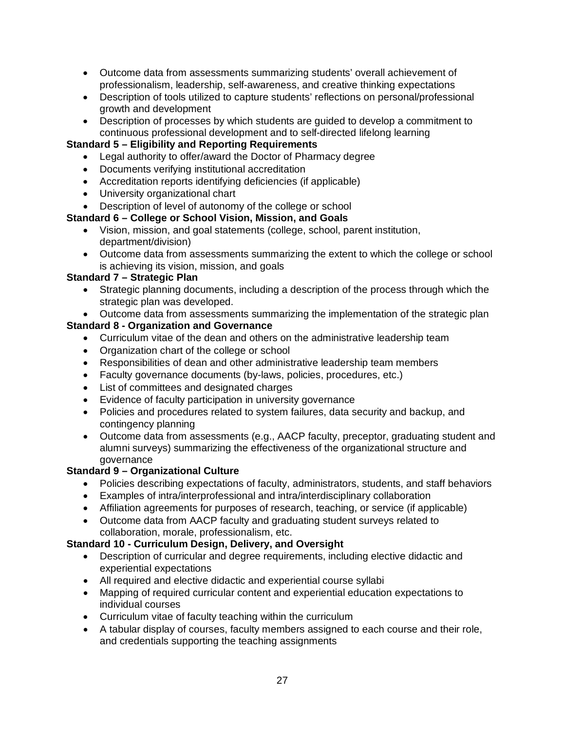- Outcome data from assessments summarizing students' overall achievement of professionalism, leadership, self-awareness, and creative thinking expectations
- Description of tools utilized to capture students' reflections on personal/professional growth and development
- Description of processes by which students are guided to develop a commitment to continuous professional development and to self-directed lifelong learning

## **Standard 5 – Eligibility and Reporting Requirements**

- Legal authority to offer/award the Doctor of Pharmacy degree
- Documents verifying institutional accreditation
- Accreditation reports identifying deficiencies (if applicable)
- University organizational chart
- Description of level of autonomy of the college or school

## **Standard 6 – College or School Vision, Mission, and Goals**

- Vision, mission, and goal statements (college, school, parent institution, department/division)
- Outcome data from assessments summarizing the extent to which the college or school is achieving its vision, mission, and goals

## **Standard 7 – Strategic Plan**

- Strategic planning documents, including a description of the process through which the strategic plan was developed.
- Outcome data from assessments summarizing the implementation of the strategic plan

# **Standard 8 - Organization and Governance**

- Curriculum vitae of the dean and others on the administrative leadership team
- Organization chart of the college or school
- Responsibilities of dean and other administrative leadership team members
- Faculty governance documents (by-laws, policies, procedures, etc.)
- List of committees and designated charges
- Evidence of faculty participation in university governance
- Policies and procedures related to system failures, data security and backup, and contingency planning
- Outcome data from assessments (e.g., AACP faculty, preceptor, graduating student and alumni surveys) summarizing the effectiveness of the organizational structure and governance

## **Standard 9 – Organizational Culture**

- Policies describing expectations of faculty, administrators, students, and staff behaviors
- Examples of intra/interprofessional and intra/interdisciplinary collaboration
- Affiliation agreements for purposes of research, teaching, or service (if applicable)
- Outcome data from AACP faculty and graduating student surveys related to collaboration, morale, professionalism, etc.

# **Standard 10 - Curriculum Design, Delivery, and Oversight**

- Description of curricular and degree requirements, including elective didactic and experiential expectations
- All required and elective didactic and experiential course syllabi
- Mapping of required curricular content and experiential education expectations to individual courses
- Curriculum vitae of faculty teaching within the curriculum
- A tabular display of courses, faculty members assigned to each course and their role, and credentials supporting the teaching assignments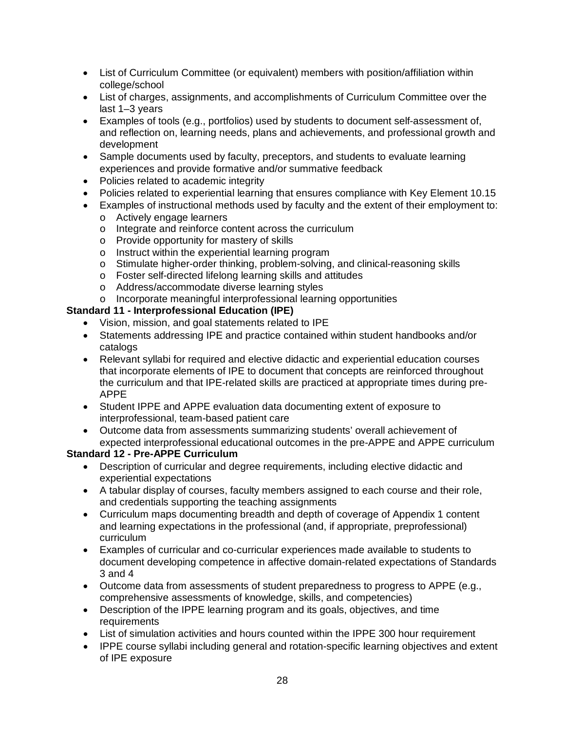- List of Curriculum Committee (or equivalent) members with position/affiliation within college/school
- List of charges, assignments, and accomplishments of Curriculum Committee over the last 1–3 years
- Examples of tools (e.g., portfolios) used by students to document self-assessment of, and reflection on, learning needs, plans and achievements, and professional growth and development
- Sample documents used by faculty, preceptors, and students to evaluate learning experiences and provide formative and/or summative feedback
- Policies related to academic integrity
- Policies related to experiential learning that ensures compliance with Key Element 10.15
- Examples of instructional methods used by faculty and the extent of their employment to:
	- o Actively engage learners
	- o Integrate and reinforce content across the curriculum
	- o Provide opportunity for mastery of skills
	- o Instruct within the experiential learning program
	- o Stimulate higher-order thinking, problem-solving, and clinical-reasoning skills
	- o Foster self-directed lifelong learning skills and attitudes
	- o Address/accommodate diverse learning styles
	- o Incorporate meaningful interprofessional learning opportunities

## **Standard 11 - Interprofessional Education (IPE)**

- Vision, mission, and goal statements related to IPE
- Statements addressing IPE and practice contained within student handbooks and/or catalogs
- Relevant syllabi for required and elective didactic and experiential education courses that incorporate elements of IPE to document that concepts are reinforced throughout the curriculum and that IPE-related skills are practiced at appropriate times during pre-APPE
- Student IPPE and APPE evaluation data documenting extent of exposure to interprofessional, team-based patient care
- Outcome data from assessments summarizing students' overall achievement of expected interprofessional educational outcomes in the pre-APPE and APPE curriculum

## **Standard 12 - Pre-APPE Curriculum**

- Description of curricular and degree requirements, including elective didactic and experiential expectations
- A tabular display of courses, faculty members assigned to each course and their role, and credentials supporting the teaching assignments
- Curriculum maps documenting breadth and depth of coverage of Appendix 1 content and learning expectations in the professional (and, if appropriate, preprofessional) curriculum
- Examples of curricular and co-curricular experiences made available to students to document developing competence in affective domain-related expectations of Standards 3 and 4
- Outcome data from assessments of student preparedness to progress to APPE (e.g., comprehensive assessments of knowledge, skills, and competencies)
- Description of the IPPE learning program and its goals, objectives, and time **requirements**
- List of simulation activities and hours counted within the IPPE 300 hour requirement
- IPPE course syllabi including general and rotation-specific learning objectives and extent of IPE exposure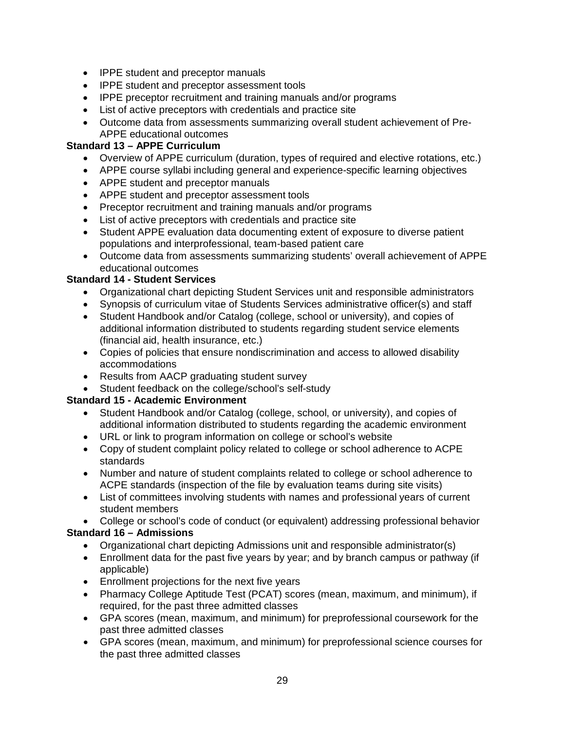- IPPE student and preceptor manuals
- IPPE student and preceptor assessment tools
- IPPE preceptor recruitment and training manuals and/or programs
- List of active preceptors with credentials and practice site
- Outcome data from assessments summarizing overall student achievement of Pre-APPE educational outcomes

## **Standard 13 – APPE Curriculum**

- Overview of APPE curriculum (duration, types of required and elective rotations, etc.)
- APPE course syllabi including general and experience-specific learning objectives
- APPE student and preceptor manuals
- APPE student and preceptor assessment tools
- Preceptor recruitment and training manuals and/or programs
- List of active preceptors with credentials and practice site
- Student APPE evaluation data documenting extent of exposure to diverse patient populations and interprofessional, team-based patient care
- Outcome data from assessments summarizing students' overall achievement of APPE educational outcomes

## **Standard 14 - Student Services**

- Organizational chart depicting Student Services unit and responsible administrators
- Synopsis of curriculum vitae of Students Services administrative officer(s) and staff
- Student Handbook and/or Catalog (college, school or university), and copies of additional information distributed to students regarding student service elements (financial aid, health insurance, etc.)
- Copies of policies that ensure nondiscrimination and access to allowed disability accommodations
- Results from AACP graduating student survey
- Student feedback on the college/school's self-study

## **Standard 15 - Academic Environment**

- Student Handbook and/or Catalog (college, school, or university), and copies of additional information distributed to students regarding the academic environment
- URL or link to program information on college or school's website
- Copy of student complaint policy related to college or school adherence to ACPE standards
- Number and nature of student complaints related to college or school adherence to ACPE standards (inspection of the file by evaluation teams during site visits)
- List of committees involving students with names and professional years of current student members

• College or school's code of conduct (or equivalent) addressing professional behavior **Standard 16 – Admissions**

- Organizational chart depicting Admissions unit and responsible administrator(s)
- Enrollment data for the past five years by year; and by branch campus or pathway (if applicable)
- Enrollment projections for the next five years
- Pharmacy College Aptitude Test (PCAT) scores (mean, maximum, and minimum), if required, for the past three admitted classes
- GPA scores (mean, maximum, and minimum) for preprofessional coursework for the past three admitted classes
- GPA scores (mean, maximum, and minimum) for preprofessional science courses for the past three admitted classes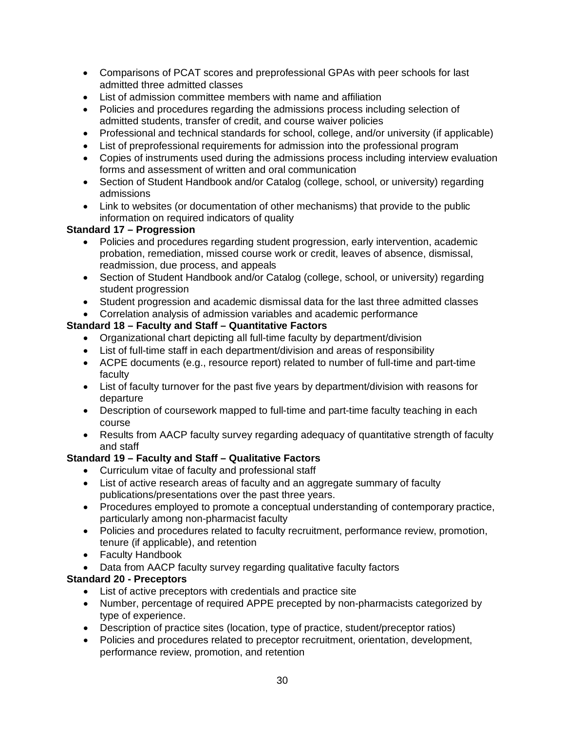- Comparisons of PCAT scores and preprofessional GPAs with peer schools for last admitted three admitted classes
- List of admission committee members with name and affiliation
- Policies and procedures regarding the admissions process including selection of admitted students, transfer of credit, and course waiver policies
- Professional and technical standards for school, college, and/or university (if applicable)
- List of preprofessional requirements for admission into the professional program
- Copies of instruments used during the admissions process including interview evaluation forms and assessment of written and oral communication
- Section of Student Handbook and/or Catalog (college, school, or university) regarding admissions
- Link to websites (or documentation of other mechanisms) that provide to the public information on required indicators of quality

## **Standard 17 – Progression**

- Policies and procedures regarding student progression, early intervention, academic probation, remediation, missed course work or credit, leaves of absence, dismissal, readmission, due process, and appeals
- Section of Student Handbook and/or Catalog (college, school, or university) regarding student progression
- Student progression and academic dismissal data for the last three admitted classes
- Correlation analysis of admission variables and academic performance

## **Standard 18 – Faculty and Staff – Quantitative Factors**

- Organizational chart depicting all full-time faculty by department/division
- List of full-time staff in each department/division and areas of responsibility
- ACPE documents (e.g., resource report) related to number of full-time and part-time faculty
- List of faculty turnover for the past five years by department/division with reasons for departure
- Description of coursework mapped to full-time and part-time faculty teaching in each course
- Results from AACP faculty survey regarding adequacy of quantitative strength of faculty and staff

# **Standard 19 – Faculty and Staff – Qualitative Factors**

- Curriculum vitae of faculty and professional staff
- List of active research areas of faculty and an aggregate summary of faculty publications/presentations over the past three years.
- Procedures employed to promote a conceptual understanding of contemporary practice, particularly among non-pharmacist faculty
- Policies and procedures related to faculty recruitment, performance review, promotion, tenure (if applicable), and retention
- Faculty Handbook
- Data from AACP faculty survey regarding qualitative faculty factors

# **Standard 20 - Preceptors**

- List of active preceptors with credentials and practice site
- Number, percentage of required APPE precepted by non-pharmacists categorized by type of experience.
- Description of practice sites (location, type of practice, student/preceptor ratios)
- Policies and procedures related to preceptor recruitment, orientation, development, performance review, promotion, and retention